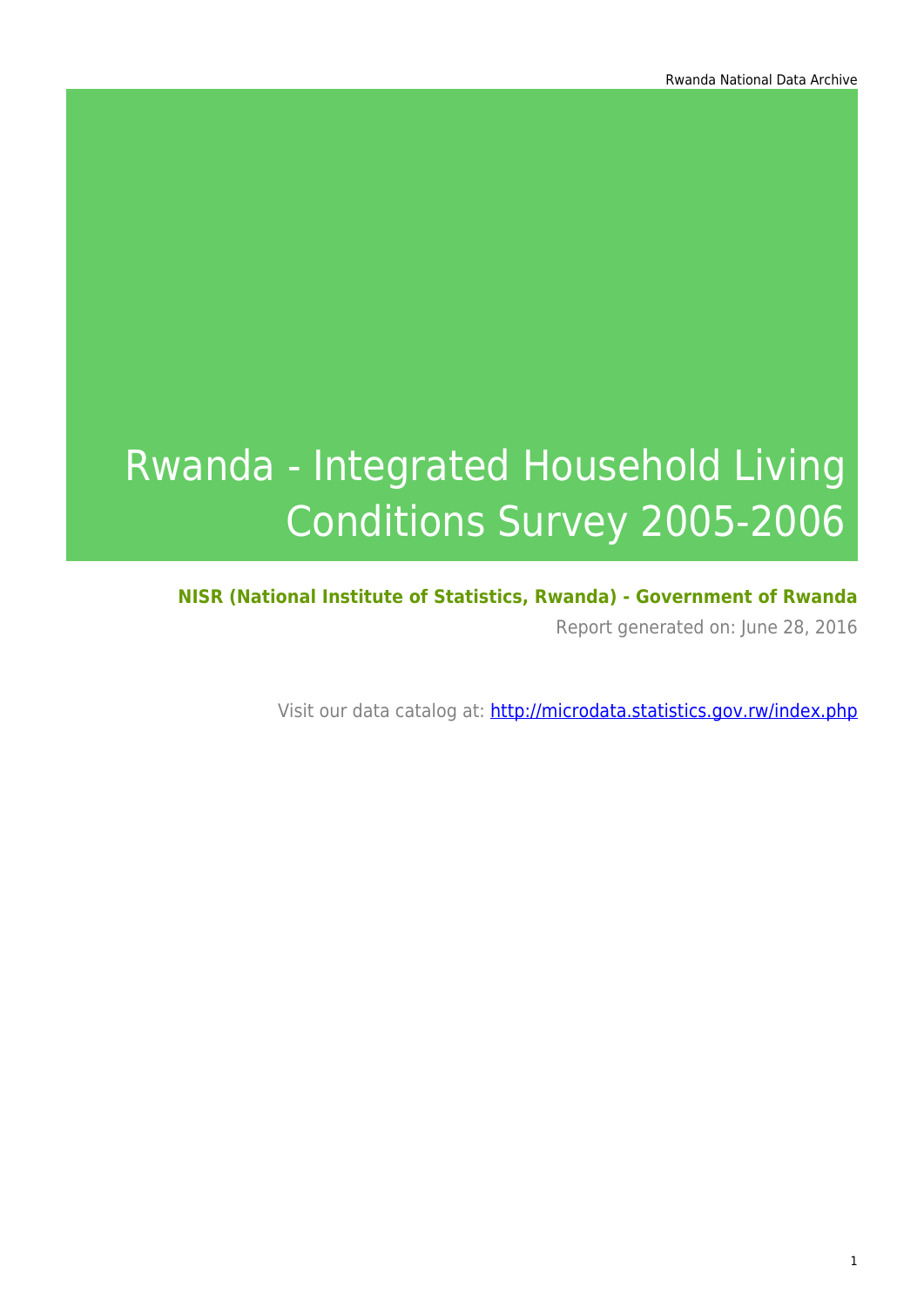# Rwanda - Integrated Household Living Conditions Survey 2005-2006

**NISR (National Institute of Statistics, Rwanda) - Government of Rwanda**

Report generated on: June 28, 2016

Visit our data catalog at: http://microdata.statistics.gov.rw/index.php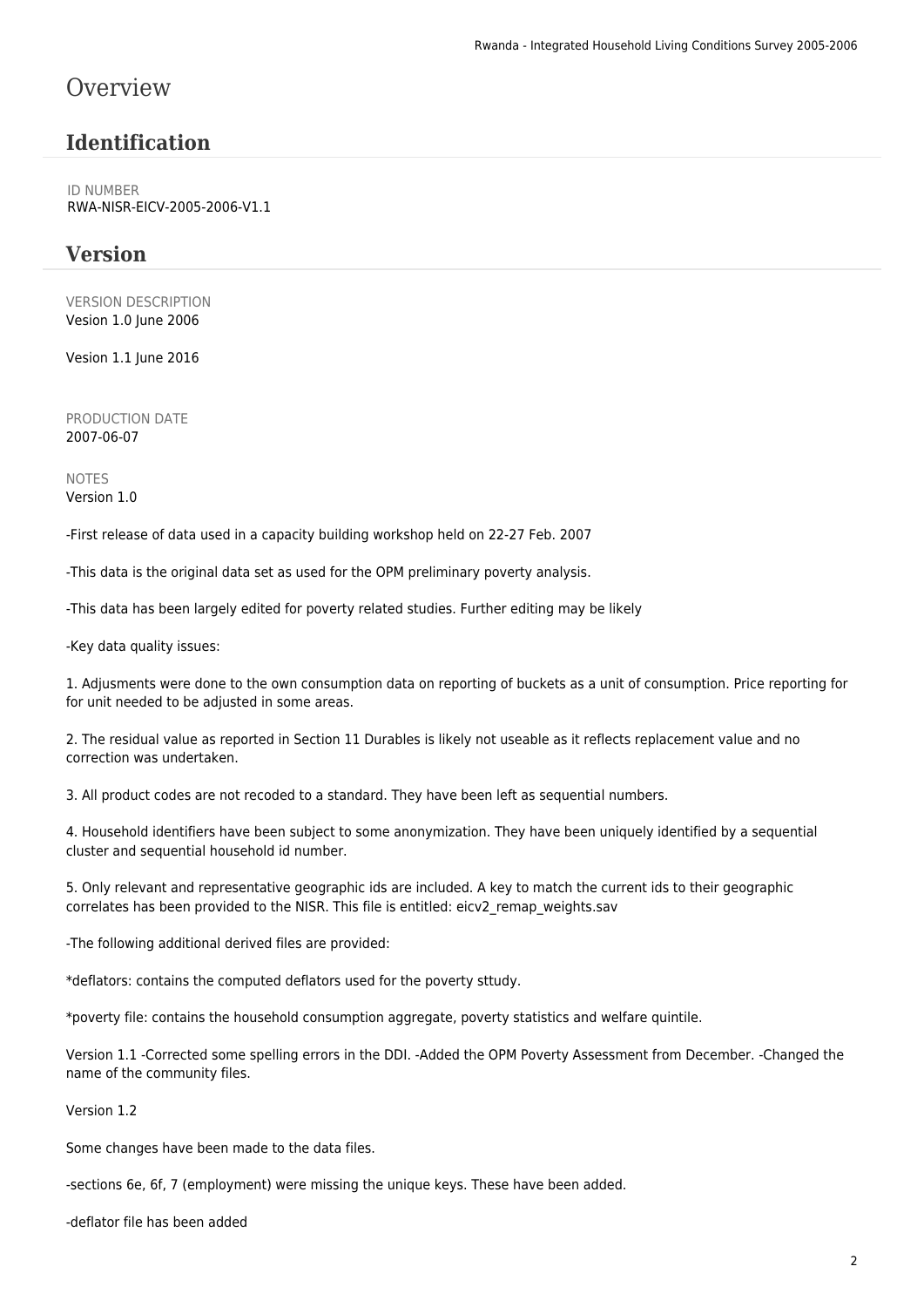### **Overview**

#### **Identification**

ID NUMBER RWA-NISR-EICV-2005-2006-V1.1

#### **Version**

VERSION DESCRIPTION Vesion 1.0 June 2006

Vesion 1.1 June 2016

PRODUCTION DATE 2007-06-07

NOTES Version 1.0

-First release of data used in a capacity building workshop held on 22-27 Feb. 2007

-This data is the original data set as used for the OPM preliminary poverty analysis.

-This data has been largely edited for poverty related studies. Further editing may be likely

-Key data quality issues:

1. Adjusments were done to the own consumption data on reporting of buckets as a unit of consumption. Price reporting for for unit needed to be adjusted in some areas.

2. The residual value as reported in Section 11 Durables is likely not useable as it reflects replacement value and no correction was undertaken.

3. All product codes are not recoded to a standard. They have been left as sequential numbers.

4. Household identifiers have been subject to some anonymization. They have been uniquely identified by a sequential cluster and sequential household id number.

5. Only relevant and representative geographic ids are included. A key to match the current ids to their geographic correlates has been provided to the NISR. This file is entitled: eicv2\_remap\_weights.sav

-The following additional derived files are provided:

\*deflators: contains the computed deflators used for the poverty sttudy.

\*poverty file: contains the household consumption aggregate, poverty statistics and welfare quintile.

Version 1.1 -Corrected some spelling errors in the DDI. -Added the OPM Poverty Assessment from December. -Changed the name of the community files.

Version 1.2

Some changes have been made to the data files.

-sections 6e, 6f, 7 (employment) were missing the unique keys. These have been added.

-deflator file has been added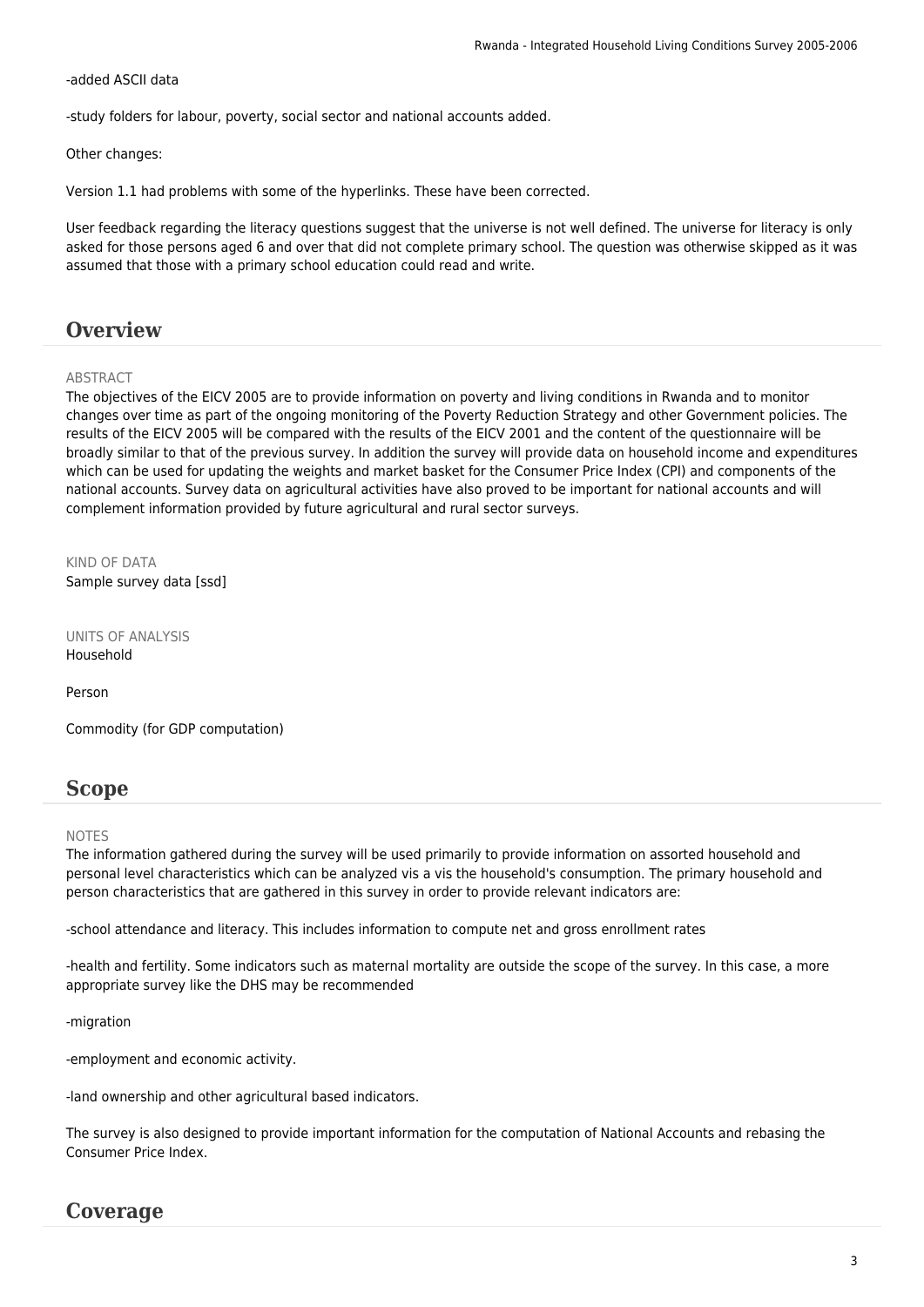#### -added ASCII data

-study folders for labour, poverty, social sector and national accounts added.

Other changes:

Version 1.1 had problems with some of the hyperlinks. These have been corrected.

User feedback regarding the literacy questions suggest that the universe is not well defined. The universe for literacy is only asked for those persons aged 6 and over that did not complete primary school. The question was otherwise skipped as it was assumed that those with a primary school education could read and write.

#### **Overview**

#### **ARSTRACT**

The objectives of the EICV 2005 are to provide information on poverty and living conditions in Rwanda and to monitor changes over time as part of the ongoing monitoring of the Poverty Reduction Strategy and other Government policies. The results of the EICV 2005 will be compared with the results of the EICV 2001 and the content of the questionnaire will be broadly similar to that of the previous survey. In addition the survey will provide data on household income and expenditures which can be used for updating the weights and market basket for the Consumer Price Index (CPI) and components of the national accounts. Survey data on agricultural activities have also proved to be important for national accounts and will complement information provided by future agricultural and rural sector surveys.

KIND OF DATA Sample survey data [ssd]

UNITS OF ANALYSIS Household

Person

Commodity (for GDP computation)

#### **Scope**

#### **NOTES**

The information gathered during the survey will be used primarily to provide information on assorted household and personal level characteristics which can be analyzed vis a vis the household's consumption. The primary household and person characteristics that are gathered in this survey in order to provide relevant indicators are:

-school attendance and literacy. This includes information to compute net and gross enrollment rates

-health and fertility. Some indicators such as maternal mortality are outside the scope of the survey. In this case, a more appropriate survey like the DHS may be recommended

-migration

-employment and economic activity.

-land ownership and other agricultural based indicators.

The survey is also designed to provide important information for the computation of National Accounts and rebasing the Consumer Price Index.

#### **Coverage**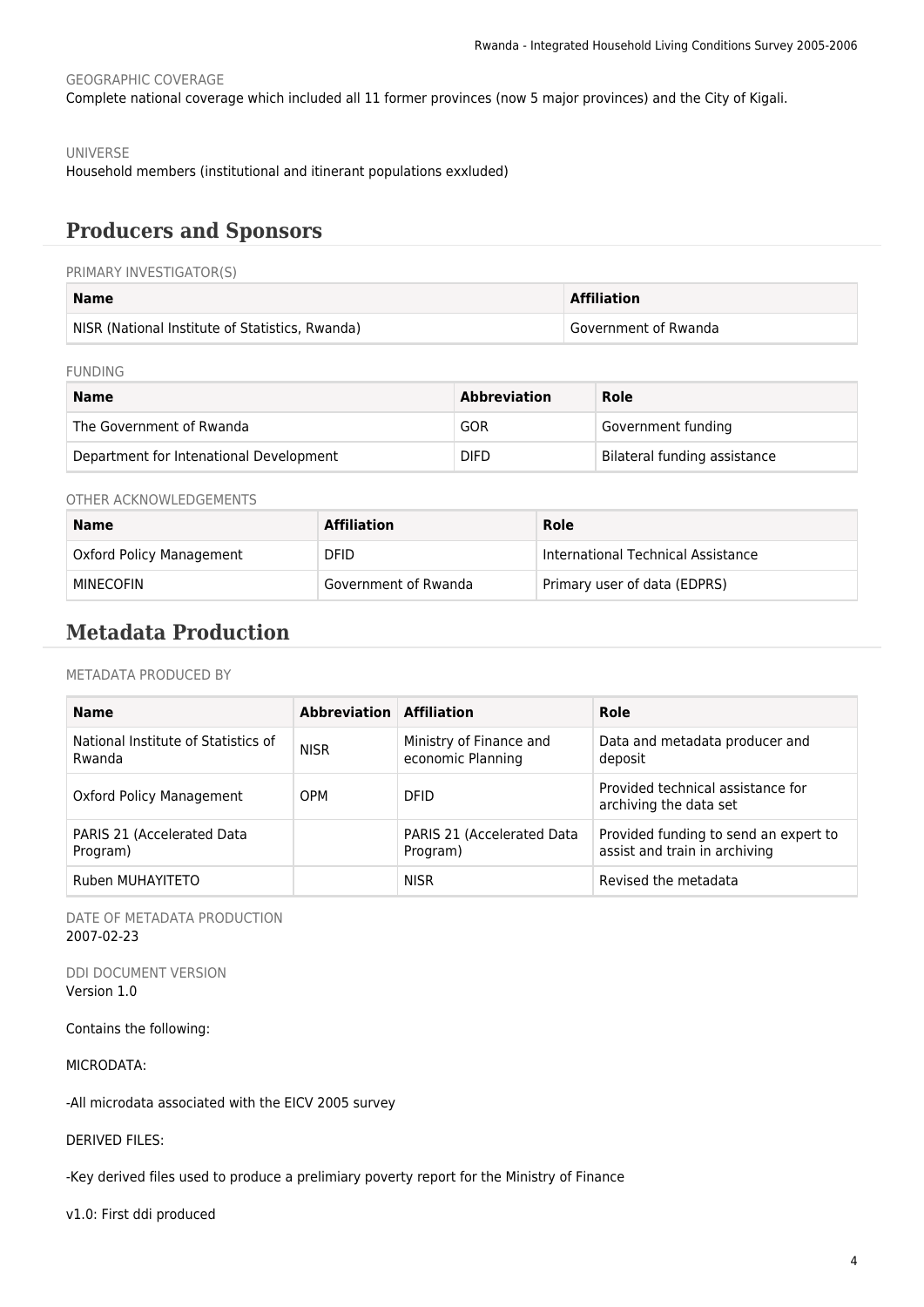#### GEOGRAPHIC COVERAGE

Complete national coverage which included all 11 former provinces (now 5 major provinces) and the City of Kigali.

#### UNIVERSE

Household members (institutional and itinerant populations exxluded)

#### **Producers and Sponsors**

#### PRIMARY INVESTIGATOR(S)

| <b>Name</b>                                     | <b>Affiliation</b>                |
|-------------------------------------------------|-----------------------------------|
| NISR (National Institute of Statistics, Rwanda) | <sup>1</sup> Government of Rwanda |

FUNDING

| <b>Name</b>                             | <b>Abbreviation</b> | Role                         |
|-----------------------------------------|---------------------|------------------------------|
| The Government of Rwanda                | <b>GOR</b>          | Government funding           |
| Department for Intenational Development | <b>DIFD</b>         | Bilateral funding assistance |

#### OTHER ACKNOWLEDGEMENTS

| <b>Name</b>              | <b>Affiliation</b>   | Role                               |
|--------------------------|----------------------|------------------------------------|
| Oxford Policy Management | DFID                 | International Technical Assistance |
| MINECOFIN                | Government of Rwanda | Primary user of data (EDPRS)       |

#### **Metadata Production**

#### METADATA PRODUCED BY

| <b>Name</b>                                   | <b>Abbreviation   Affiliation</b> |                                              | Role                                                                   |
|-----------------------------------------------|-----------------------------------|----------------------------------------------|------------------------------------------------------------------------|
| National Institute of Statistics of<br>Rwanda | <b>NISR</b>                       | Ministry of Finance and<br>economic Planning | Data and metadata producer and<br>deposit                              |
| Oxford Policy Management                      | <b>OPM</b>                        | <b>DFID</b>                                  | Provided technical assistance for<br>archiving the data set            |
| PARIS 21 (Accelerated Data<br>Program)        |                                   | PARIS 21 (Accelerated Data<br>Program)       | Provided funding to send an expert to<br>assist and train in archiving |
| Ruben MUHAYITETO                              |                                   | <b>NISR</b>                                  | Revised the metadata                                                   |

DATE OF METADATA PRODUCTION 2007-02-23

DDI DOCUMENT VERSION Version 1.0

Contains the following:

MICRODATA:

-All microdata associated with the EICV 2005 survey

DERIVED FILES:

-Key derived files used to produce a prelimiary poverty report for the Ministry of Finance

v1.0: First ddi produced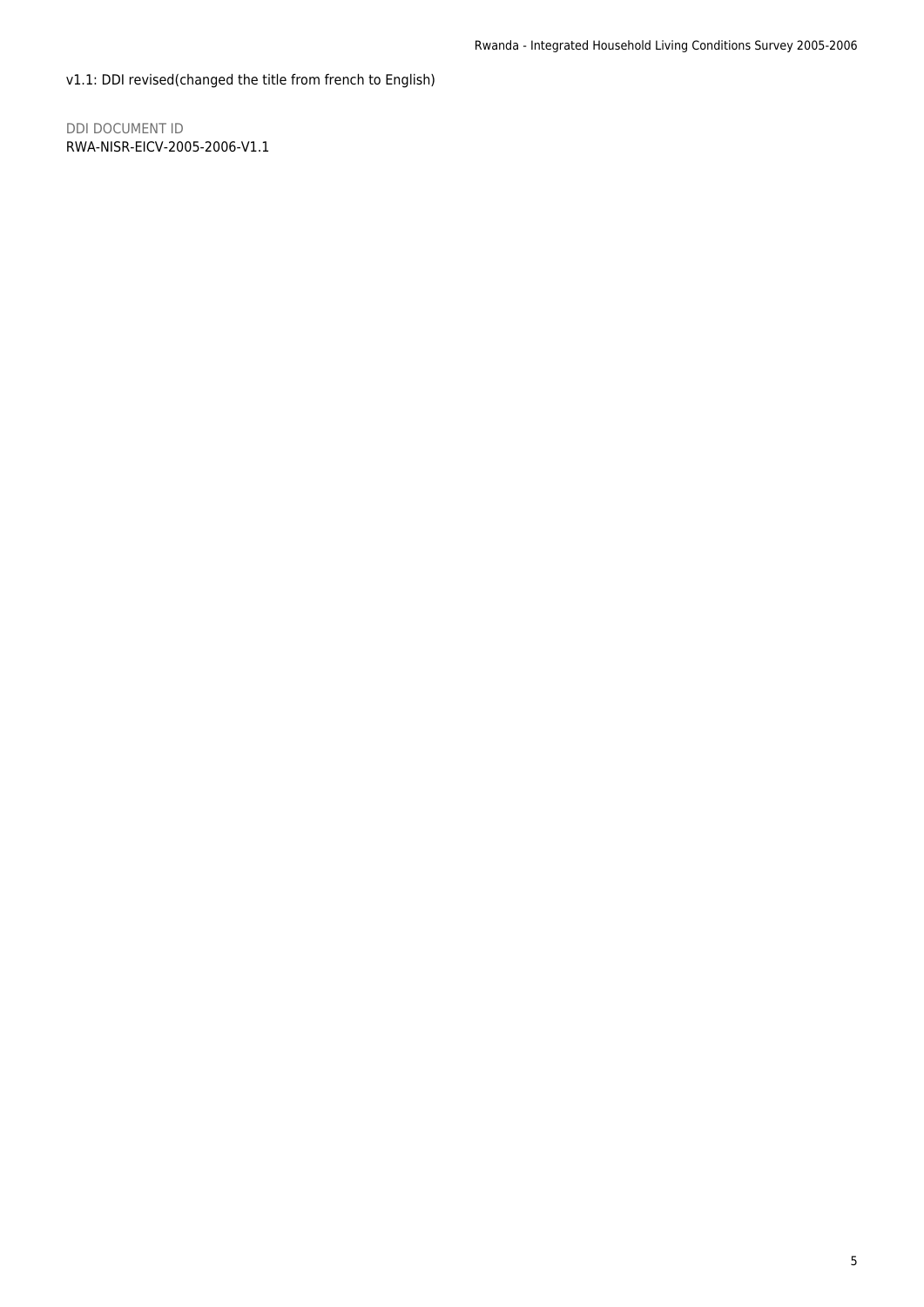v1.1: DDI revised(changed the title from french to English)

DDI DOCUMENT ID RWA-NISR-EICV-2005-2006-V1.1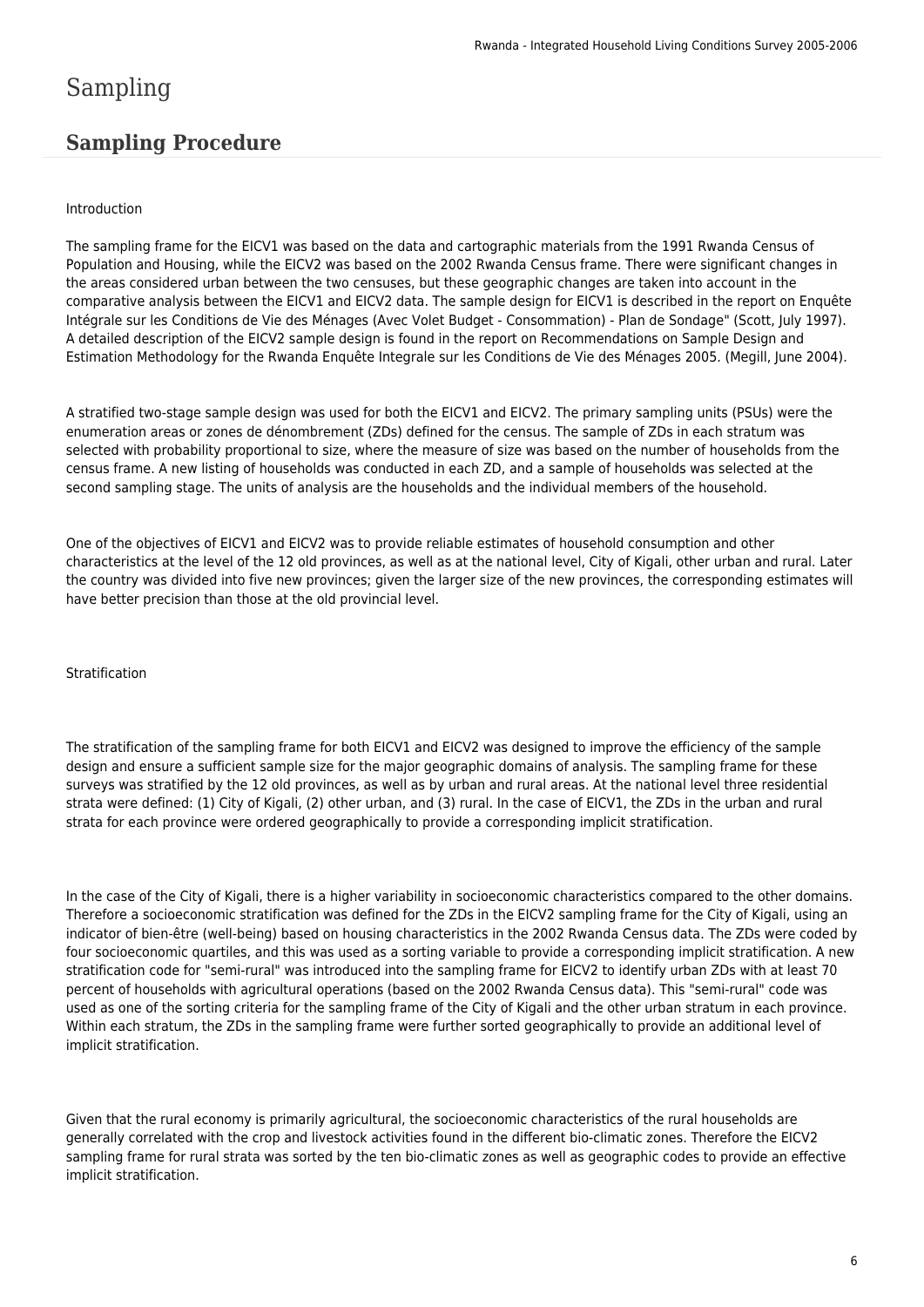# Sampling

### **Sampling Procedure**

#### Introduction

The sampling frame for the EICV1 was based on the data and cartographic materials from the 1991 Rwanda Census of Population and Housing, while the EICV2 was based on the 2002 Rwanda Census frame. There were significant changes in the areas considered urban between the two censuses, but these geographic changes are taken into account in the comparative analysis between the EICV1 and EICV2 data. The sample design for EICV1 is described in the report on Enquête Intégrale sur les Conditions de Vie des Ménages (Avec Volet Budget - Consommation) - Plan de Sondage" (Scott, July 1997). A detailed description of the EICV2 sample design is found in the report on Recommendations on Sample Design and Estimation Methodology for the Rwanda Enquête Integrale sur les Conditions de Vie des Ménages 2005. (Megill, June 2004).

A stratified two-stage sample design was used for both the EICV1 and EICV2. The primary sampling units (PSUs) were the enumeration areas or zones de dénombrement (ZDs) defined for the census. The sample of ZDs in each stratum was selected with probability proportional to size, where the measure of size was based on the number of households from the census frame. A new listing of households was conducted in each ZD, and a sample of households was selected at the second sampling stage. The units of analysis are the households and the individual members of the household.

One of the objectives of EICV1 and EICV2 was to provide reliable estimates of household consumption and other characteristics at the level of the 12 old provinces, as well as at the national level, City of Kigali, other urban and rural. Later the country was divided into five new provinces; given the larger size of the new provinces, the corresponding estimates will have better precision than those at the old provincial level.

Stratification

The stratification of the sampling frame for both EICV1 and EICV2 was designed to improve the efficiency of the sample design and ensure a sufficient sample size for the major geographic domains of analysis. The sampling frame for these surveys was stratified by the 12 old provinces, as well as by urban and rural areas. At the national level three residential strata were defined: (1) City of Kigali, (2) other urban, and (3) rural. In the case of EICV1, the ZDs in the urban and rural strata for each province were ordered geographically to provide a corresponding implicit stratification.

In the case of the City of Kigali, there is a higher variability in socioeconomic characteristics compared to the other domains. Therefore a socioeconomic stratification was defined for the ZDs in the EICV2 sampling frame for the City of Kigali, using an indicator of bien-être (well-being) based on housing characteristics in the 2002 Rwanda Census data. The ZDs were coded by four socioeconomic quartiles, and this was used as a sorting variable to provide a corresponding implicit stratification. A new stratification code for "semi-rural" was introduced into the sampling frame for EICV2 to identify urban ZDs with at least 70 percent of households with agricultural operations (based on the 2002 Rwanda Census data). This "semi-rural" code was used as one of the sorting criteria for the sampling frame of the City of Kigali and the other urban stratum in each province. Within each stratum, the ZDs in the sampling frame were further sorted geographically to provide an additional level of implicit stratification.

Given that the rural economy is primarily agricultural, the socioeconomic characteristics of the rural households are generally correlated with the crop and livestock activities found in the different bio-climatic zones. Therefore the EICV2 sampling frame for rural strata was sorted by the ten bio-climatic zones as well as geographic codes to provide an effective implicit stratification.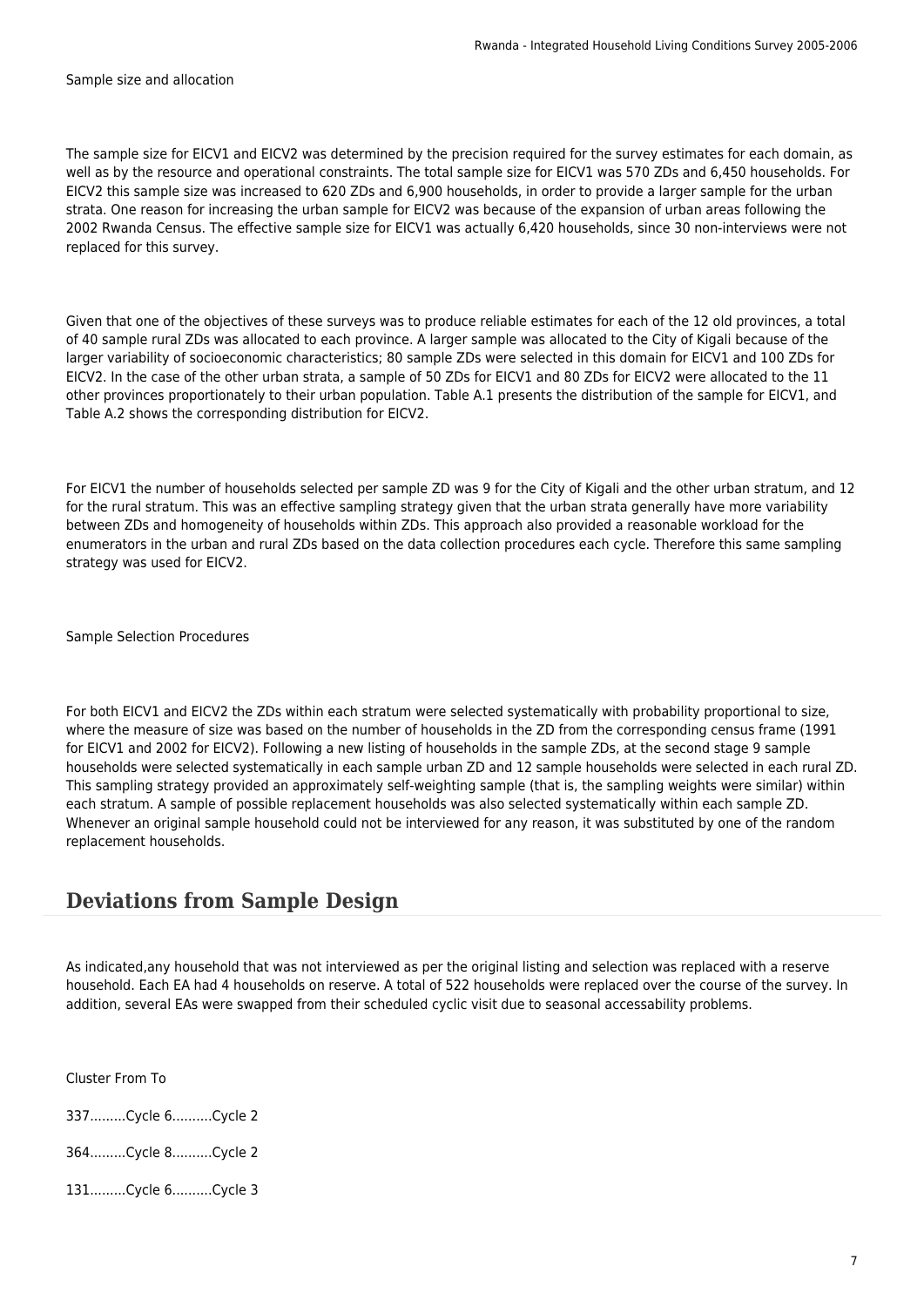The sample size for EICV1 and EICV2 was determined by the precision required for the survey estimates for each domain, as well as by the resource and operational constraints. The total sample size for EICV1 was 570 ZDs and 6,450 households. For EICV2 this sample size was increased to 620 ZDs and 6,900 households, in order to provide a larger sample for the urban strata. One reason for increasing the urban sample for EICV2 was because of the expansion of urban areas following the 2002 Rwanda Census. The effective sample size for EICV1 was actually 6,420 households, since 30 non-interviews were not replaced for this survey.

Given that one of the objectives of these surveys was to produce reliable estimates for each of the 12 old provinces, a total of 40 sample rural ZDs was allocated to each province. A larger sample was allocated to the City of Kigali because of the larger variability of socioeconomic characteristics; 80 sample ZDs were selected in this domain for EICV1 and 100 ZDs for EICV2. In the case of the other urban strata, a sample of 50 ZDs for EICV1 and 80 ZDs for EICV2 were allocated to the 11 other provinces proportionately to their urban population. Table A.1 presents the distribution of the sample for EICV1, and Table A.2 shows the corresponding distribution for EICV2.

For EICV1 the number of households selected per sample ZD was 9 for the City of Kigali and the other urban stratum, and 12 for the rural stratum. This was an effective sampling strategy given that the urban strata generally have more variability between ZDs and homogeneity of households within ZDs. This approach also provided a reasonable workload for the enumerators in the urban and rural ZDs based on the data collection procedures each cycle. Therefore this same sampling strategy was used for EICV2.

Sample Selection Procedures

For both EICV1 and EICV2 the ZDs within each stratum were selected systematically with probability proportional to size, where the measure of size was based on the number of households in the ZD from the corresponding census frame (1991 for EICV1 and 2002 for EICV2). Following a new listing of households in the sample ZDs, at the second stage 9 sample households were selected systematically in each sample urban ZD and 12 sample households were selected in each rural ZD. This sampling strategy provided an approximately self-weighting sample (that is, the sampling weights were similar) within each stratum. A sample of possible replacement households was also selected systematically within each sample ZD. Whenever an original sample household could not be interviewed for any reason, it was substituted by one of the random replacement households.

#### **Deviations from Sample Design**

As indicated,any household that was not interviewed as per the original listing and selection was replaced with a reserve household. Each EA had 4 households on reserve. A total of 522 households were replaced over the course of the survey. In addition, several EAs were swapped from their scheduled cyclic visit due to seasonal accessability problems.

Cluster From To

- 337.........Cycle 6..........Cycle 2
- 364.........Cycle 8..........Cycle 2
- 131.........Cycle 6..........Cycle 3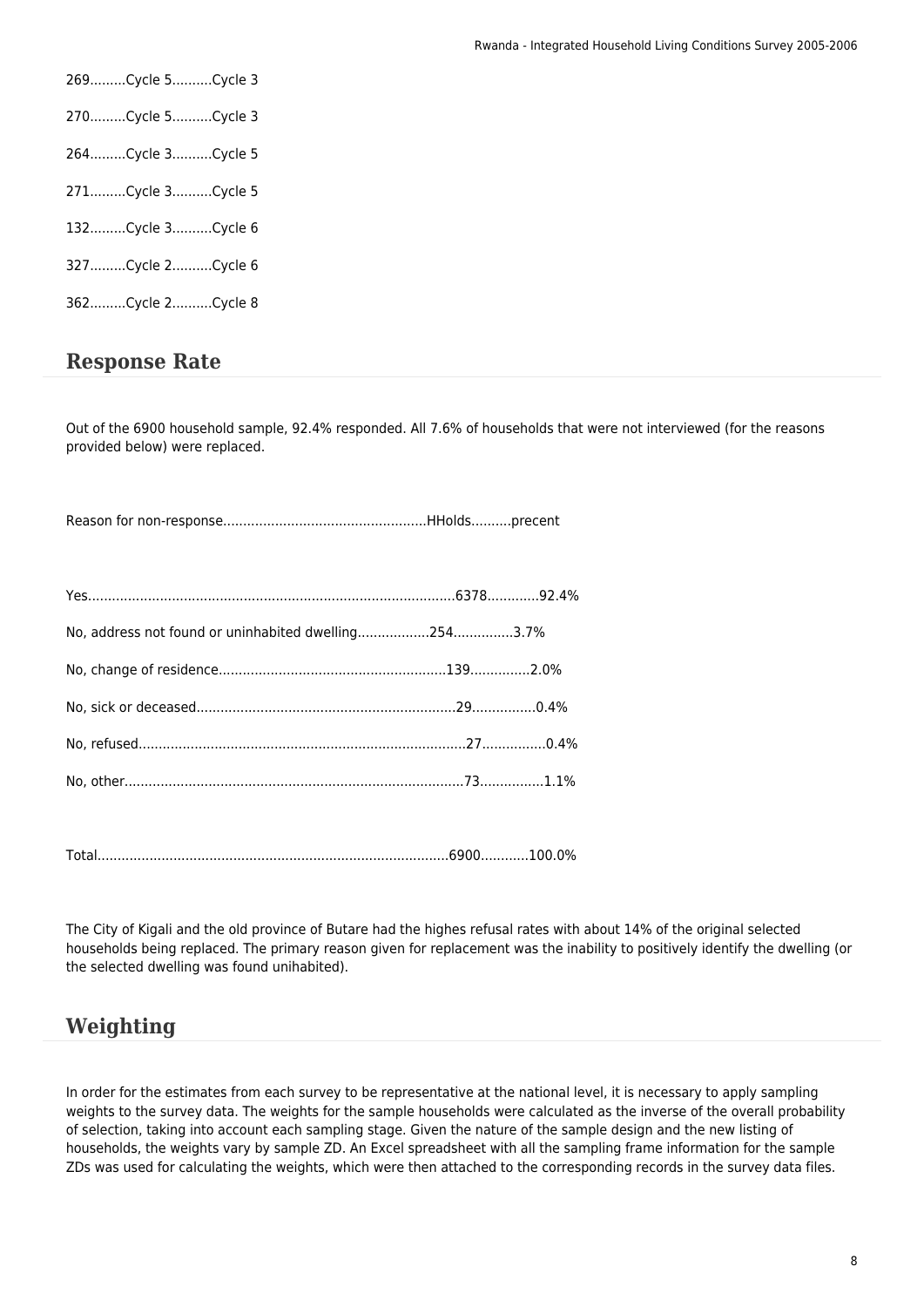- 269.........Cycle 5..........Cycle 3
- 270.........Cycle 5..........Cycle 3
- 264.........Cycle 3..........Cycle 5
- 271.........Cycle 3..........Cycle 5
- 132.........Cycle 3..........Cycle 6
- 327.........Cycle 2..........Cycle 6
- 362.........Cycle 2..........Cycle 8

#### **Response Rate**

Out of the 6900 household sample, 92.4% responded. All 7.6% of households that were not interviewed (for the reasons provided below) were replaced.

Reason for non-response...................................................HHolds..........precent

| No, address not found or uninhabited dwelling2543.7% |  |
|------------------------------------------------------|--|
|                                                      |  |
|                                                      |  |
|                                                      |  |
|                                                      |  |
|                                                      |  |

Total........................................................................................6900............100.0%

The City of Kigali and the old province of Butare had the highes refusal rates with about 14% of the original selected households being replaced. The primary reason given for replacement was the inability to positively identify the dwelling (or the selected dwelling was found unihabited).

#### **Weighting**

In order for the estimates from each survey to be representative at the national level, it is necessary to apply sampling weights to the survey data. The weights for the sample households were calculated as the inverse of the overall probability of selection, taking into account each sampling stage. Given the nature of the sample design and the new listing of households, the weights vary by sample ZD. An Excel spreadsheet with all the sampling frame information for the sample ZDs was used for calculating the weights, which were then attached to the corresponding records in the survey data files.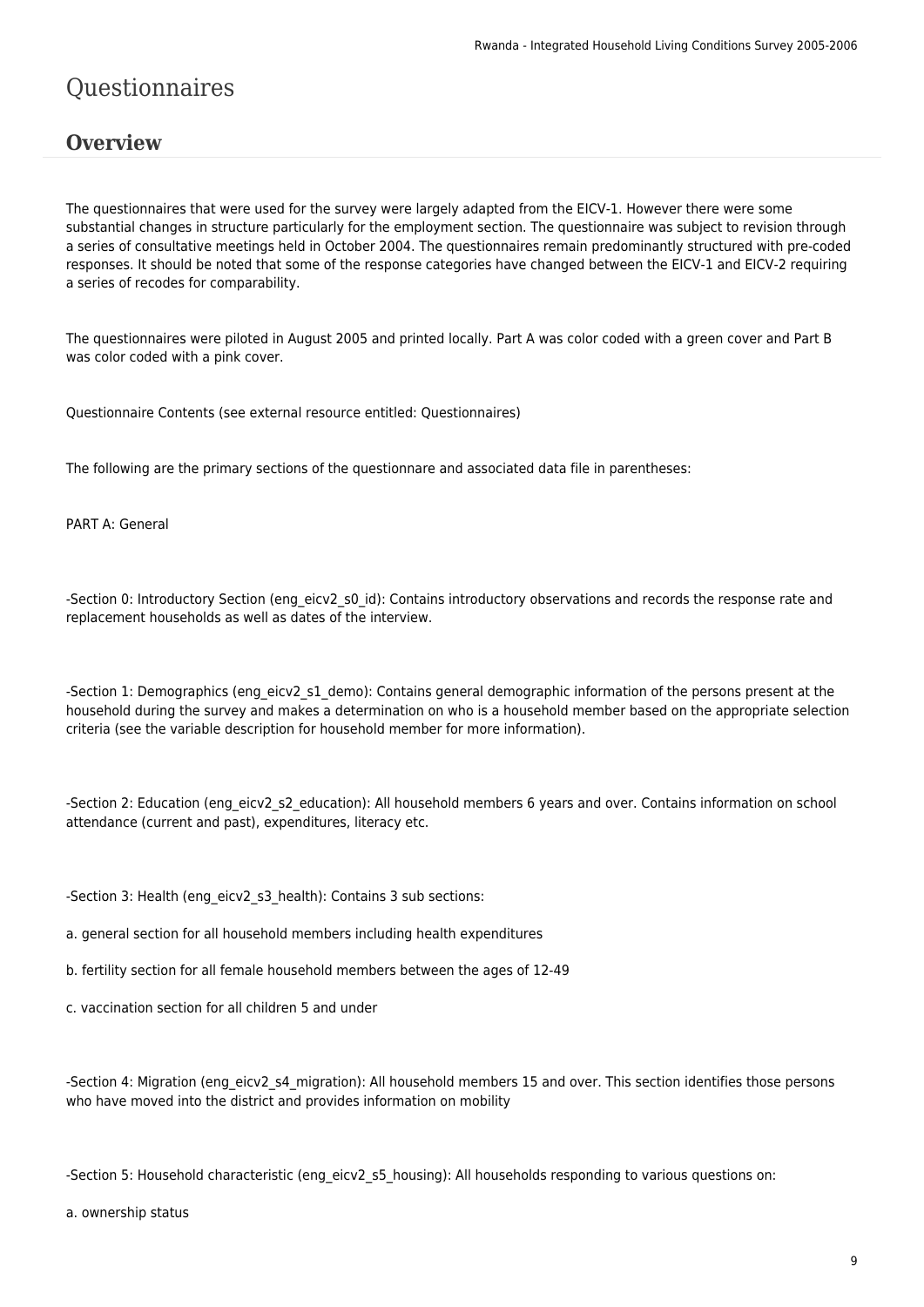# Questionnaires

#### **Overview**

The questionnaires that were used for the survey were largely adapted from the EICV-1. However there were some substantial changes in structure particularly for the employment section. The questionnaire was subject to revision through a series of consultative meetings held in October 2004. The questionnaires remain predominantly structured with pre-coded responses. It should be noted that some of the response categories have changed between the EICV-1 and EICV-2 requiring a series of recodes for comparability.

The questionnaires were piloted in August 2005 and printed locally. Part A was color coded with a green cover and Part B was color coded with a pink cover.

Questionnaire Contents (see external resource entitled: Questionnaires)

The following are the primary sections of the questionnare and associated data file in parentheses:

PART A: General

-Section 0: Introductory Section (eng\_eicv2\_s0\_id): Contains introductory observations and records the response rate and replacement households as well as dates of the interview.

-Section 1: Demographics (eng\_eicv2\_s1\_demo): Contains general demographic information of the persons present at the household during the survey and makes a determination on who is a household member based on the appropriate selection criteria (see the variable description for household member for more information).

-Section 2: Education (eng\_eicv2\_s2\_education): All household members 6 years and over. Contains information on school attendance (current and past), expenditures, literacy etc.

-Section 3: Health (eng\_eicv2\_s3\_health): Contains 3 sub sections:

a. general section for all household members including health expenditures

- b. fertility section for all female household members between the ages of 12-49
- c. vaccination section for all children 5 and under

-Section 4: Migration (eng\_eicv2\_s4\_migration): All household members 15 and over. This section identifies those persons who have moved into the district and provides information on mobility

-Section 5: Household characteristic (eng\_eicv2\_s5\_housing): All households responding to various questions on:

a. ownership status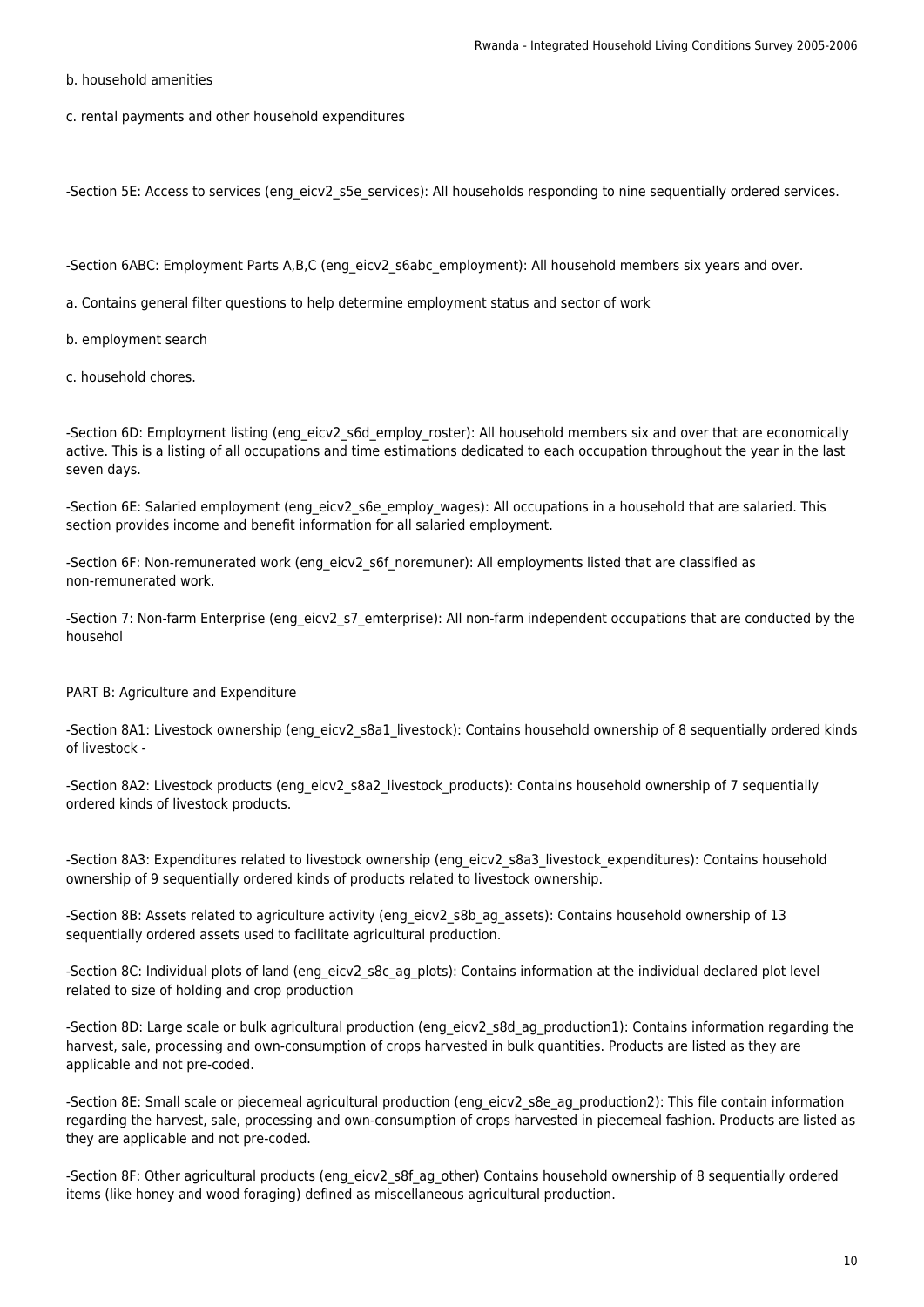- b. household amenities
- c. rental payments and other household expenditures

-Section 5E: Access to services (eng\_eicv2\_s5e\_services): All households responding to nine sequentially ordered services.

-Section 6ABC: Employment Parts A,B,C (eng\_eicv2\_s6abc\_employment): All household members six years and over.

- a. Contains general filter questions to help determine employment status and sector of work
- b. employment search
- c. household chores.

-Section 6D: Employment listing (eng\_eicv2\_s6d\_employ\_roster): All household members six and over that are economically active. This is a listing of all occupations and time estimations dedicated to each occupation throughout the year in the last seven days.

-Section 6E: Salaried employment (eng\_eicv2\_s6e\_employ\_wages): All occupations in a household that are salaried. This section provides income and benefit information for all salaried employment.

-Section 6F: Non-remunerated work (eng\_eicv2\_s6f\_noremuner): All employments listed that are classified as non-remunerated work.

-Section 7: Non-farm Enterprise (eng\_eicv2\_s7\_emterprise): All non-farm independent occupations that are conducted by the househol

#### PART B: Agriculture and Expenditure

-Section 8A1: Livestock ownership (eng eicv2 s8a1 livestock): Contains household ownership of 8 sequentially ordered kinds of livestock -

-Section 8A2: Livestock products (eng\_eicv2\_s8a2\_livestock\_products): Contains household ownership of 7 sequentially ordered kinds of livestock products.

-Section 8A3: Expenditures related to livestock ownership (eng\_eicv2\_s8a3\_livestock\_expenditures): Contains household ownership of 9 sequentially ordered kinds of products related to livestock ownership.

-Section 8B: Assets related to agriculture activity (eng eicv2 s8b ag assets): Contains household ownership of 13 sequentially ordered assets used to facilitate agricultural production.

-Section 8C: Individual plots of land (eng\_eicv2\_s8c\_ag\_plots): Contains information at the individual declared plot level related to size of holding and crop production

-Section 8D: Large scale or bulk agricultural production (eng\_eicv2\_s8d\_ag\_production1): Contains information regarding the harvest, sale, processing and own-consumption of crops harvested in bulk quantities. Products are listed as they are applicable and not pre-coded.

-Section 8E: Small scale or piecemeal agricultural production (eng\_eicv2\_s8e\_ag\_production2): This file contain information regarding the harvest, sale, processing and own-consumption of crops harvested in piecemeal fashion. Products are listed as they are applicable and not pre-coded.

-Section 8F: Other agricultural products (eng\_eicv2\_s8f\_ag\_other) Contains household ownership of 8 sequentially ordered items (like honey and wood foraging) defined as miscellaneous agricultural production.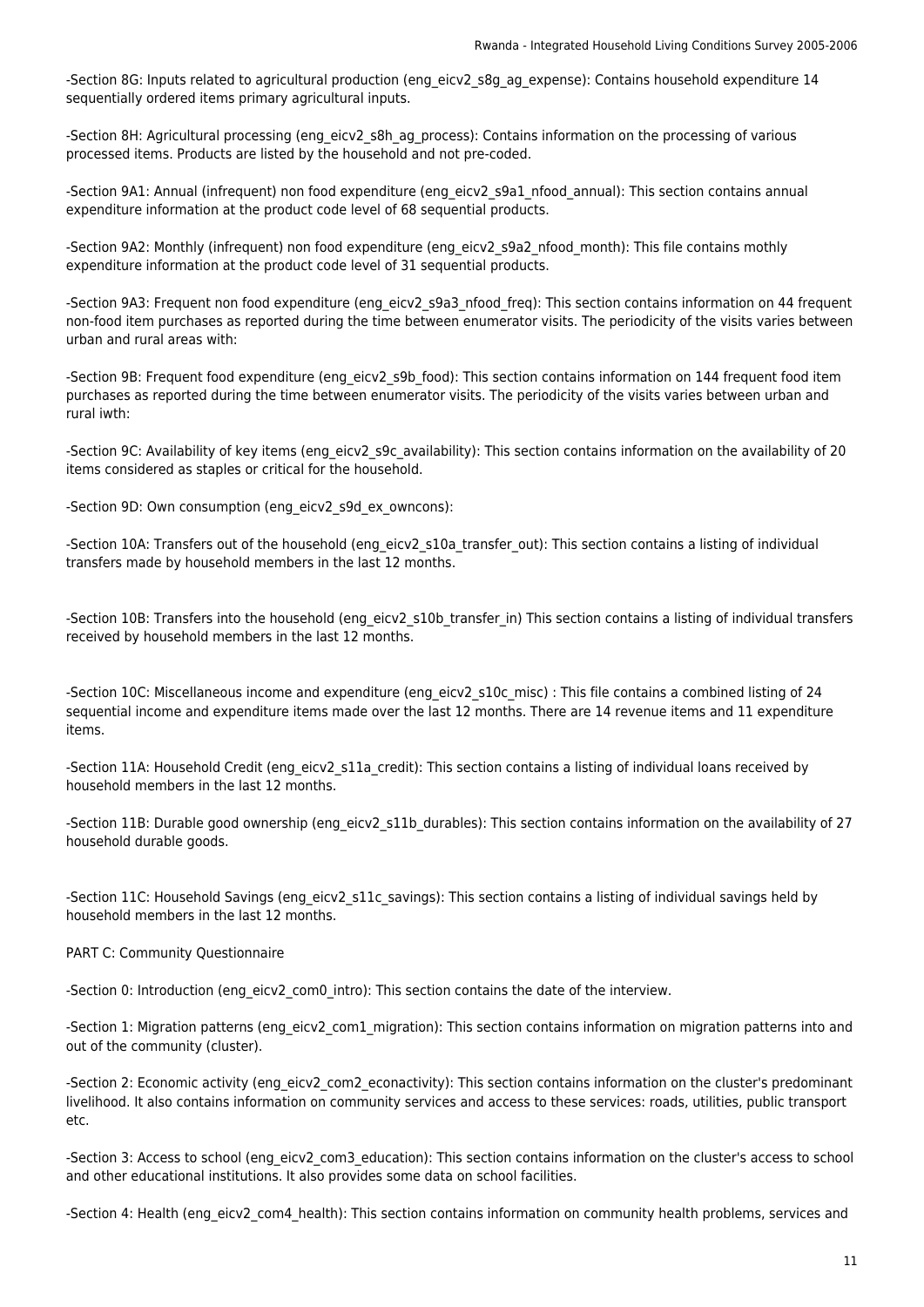-Section 8G: Inputs related to agricultural production (eng eicv2 s8g ag expense): Contains household expenditure 14 sequentially ordered items primary agricultural inputs.

-Section 8H: Agricultural processing (eng\_eicv2\_s8h\_ag\_process): Contains information on the processing of various processed items. Products are listed by the household and not pre-coded.

-Section 9A1: Annual (infrequent) non food expenditure (eng\_eicv2\_s9a1\_nfood\_annual): This section contains annual expenditure information at the product code level of 68 sequential products.

-Section 9A2: Monthly (infrequent) non food expenditure (eng\_eicv2\_s9a2\_nfood\_month): This file contains mothly expenditure information at the product code level of 31 sequential products.

-Section 9A3: Frequent non food expenditure (eng eicv2 s9a3 nfood freq): This section contains information on 44 frequent non-food item purchases as reported during the time between enumerator visits. The periodicity of the visits varies between urban and rural areas with:

-Section 9B: Frequent food expenditure (eng\_eicv2\_s9b\_food): This section contains information on 144 frequent food item purchases as reported during the time between enumerator visits. The periodicity of the visits varies between urban and rural iwth:

-Section 9C: Availability of key items (eng\_eicv2\_s9c\_availability): This section contains information on the availability of 20 items considered as staples or critical for the household.

-Section 9D: Own consumption (eng\_eicv2\_s9d\_ex\_owncons):

-Section 10A: Transfers out of the household (eng eicv2 s10a transfer out): This section contains a listing of individual transfers made by household members in the last 12 months.

-Section 10B: Transfers into the household (eng eicv2 s10b transfer in) This section contains a listing of individual transfers received by household members in the last 12 months.

-Section 10C: Miscellaneous income and expenditure (eng eicv2 s10c misc) : This file contains a combined listing of 24 sequential income and expenditure items made over the last 12 months. There are 14 revenue items and 11 expenditure items.

-Section 11A: Household Credit (eng\_eicv2\_s11a\_credit): This section contains a listing of individual loans received by household members in the last 12 months.

-Section 11B: Durable good ownership (eng eicv2 s11b durables): This section contains information on the availability of 27 household durable goods.

-Section 11C: Household Savings (eng\_eicv2\_s11c\_savings): This section contains a listing of individual savings held by household members in the last 12 months.

PART C: Community Questionnaire

-Section 0: Introduction (eng\_eicv2\_com0\_intro): This section contains the date of the interview.

-Section 1: Migration patterns (eng\_eicv2\_com1\_migration): This section contains information on migration patterns into and out of the community (cluster).

-Section 2: Economic activity (eng\_eicv2\_com2\_econactivity): This section contains information on the cluster's predominant livelihood. It also contains information on community services and access to these services: roads, utilities, public transport etc.

-Section 3: Access to school (eng\_eicv2\_com3\_education): This section contains information on the cluster's access to school and other educational institutions. It also provides some data on school facilities.

-Section 4: Health (eng eicv2 com4 health): This section contains information on community health problems, services and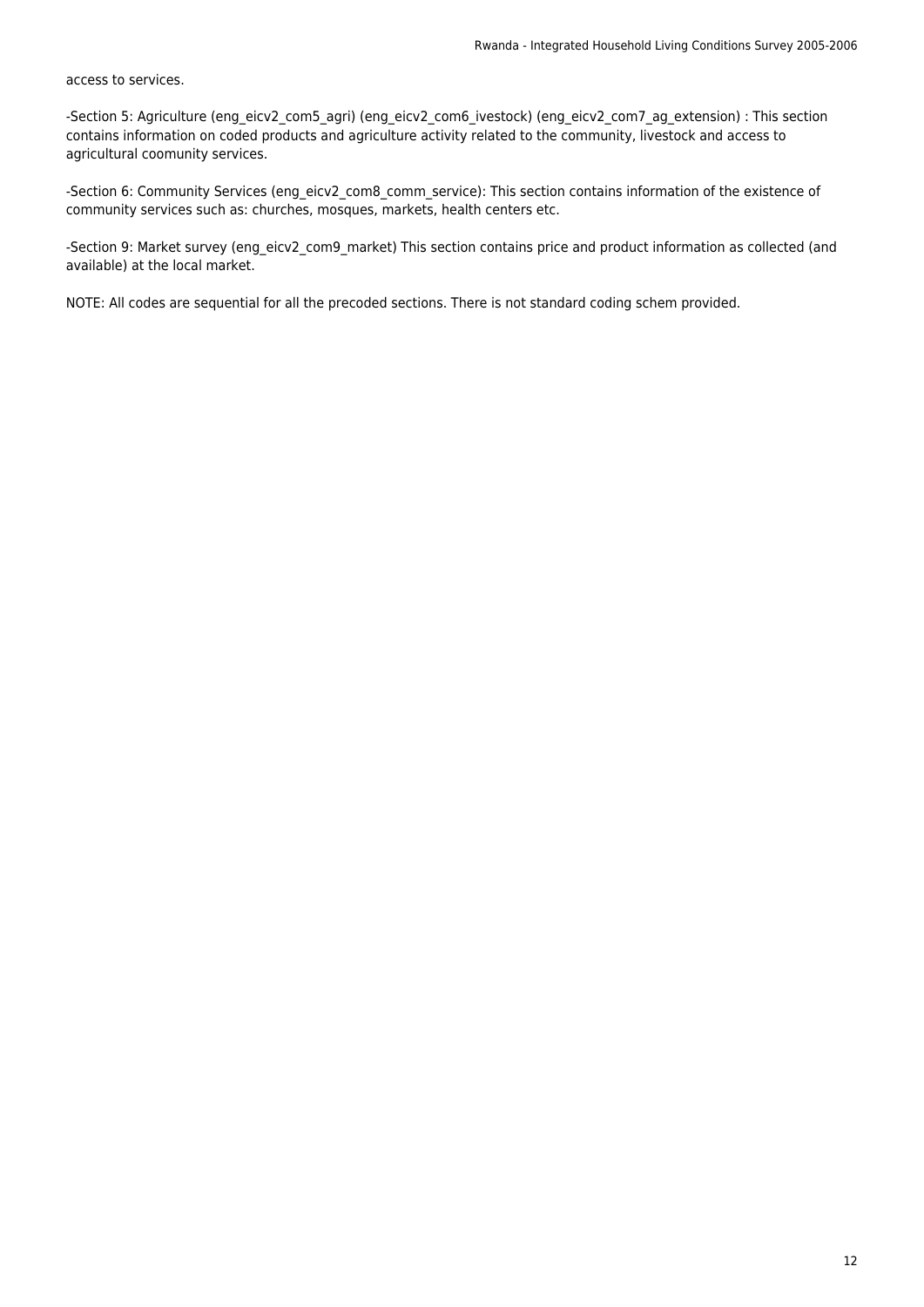access to services.

-Section 5: Agriculture (eng\_eicv2\_com5\_agri) (eng\_eicv2\_com6\_ivestock) (eng\_eicv2\_com7\_ag\_extension) : This section contains information on coded products and agriculture activity related to the community, livestock and access to agricultural coomunity services.

-Section 6: Community Services (eng\_eicv2\_com8\_comm\_service): This section contains information of the existence of community services such as: churches, mosques, markets, health centers etc.

-Section 9: Market survey (eng\_eicv2\_com9\_market) This section contains price and product information as collected (and available) at the local market.

NOTE: All codes are sequential for all the precoded sections. There is not standard coding schem provided.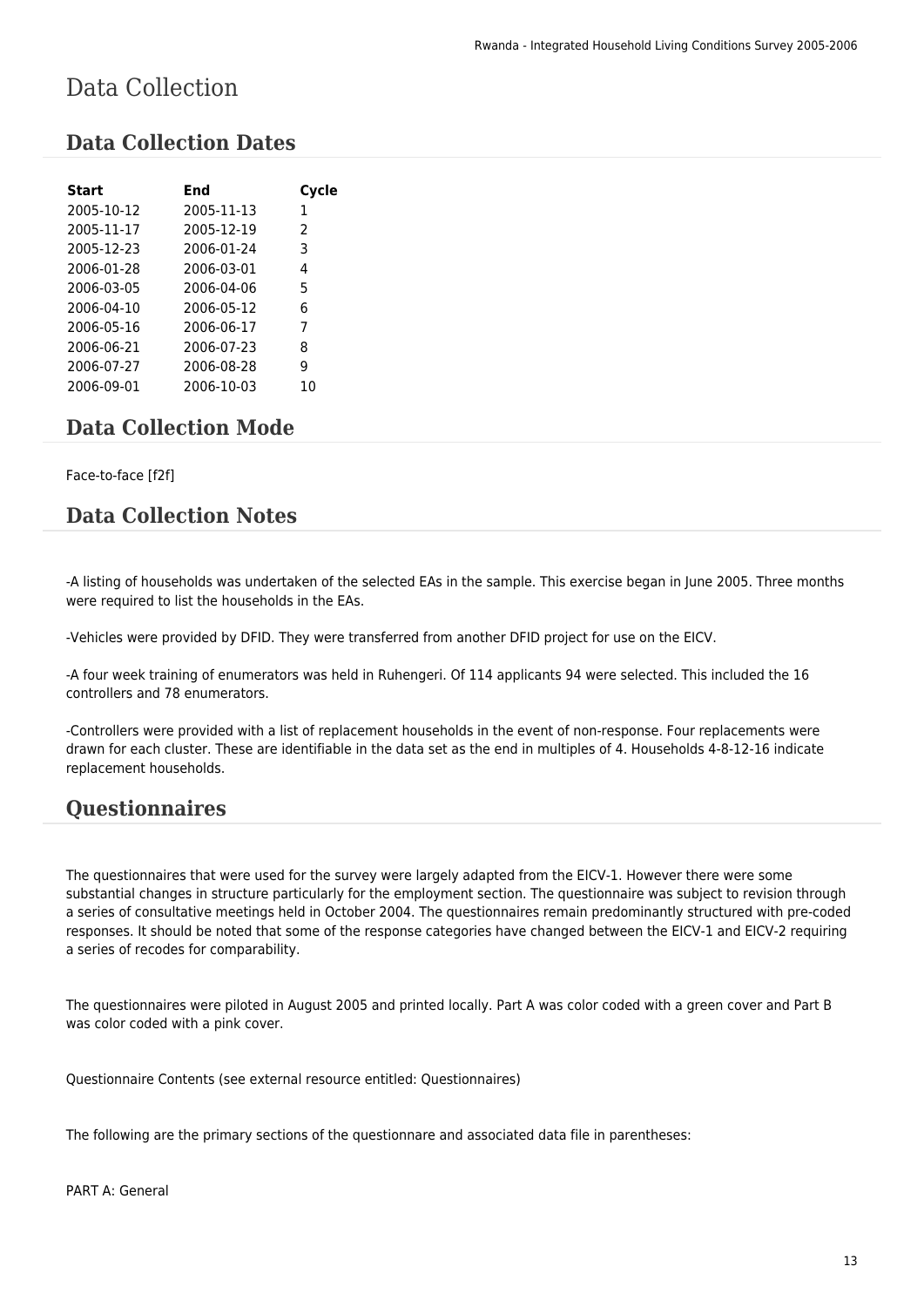# Data Collection

#### **Data Collection Dates**

| End        | Cycle         |
|------------|---------------|
| 2005-11-13 | 1             |
| 2005-12-19 | $\mathcal{P}$ |
| 2006-01-24 | 3             |
| 2006-03-01 | 4             |
| 2006-04-06 | 5             |
| 2006-05-12 | 6             |
| 2006-06-17 | 7             |
| 2006-07-23 | 8             |
| 2006-08-28 | 9             |
| 2006-10-03 | 10            |
|            |               |

#### **Data Collection Mode**

#### Face-to-face [f2f]

#### **Data Collection Notes**

-A listing of households was undertaken of the selected EAs in the sample. This exercise began in June 2005. Three months were required to list the households in the EAs.

-Vehicles were provided by DFID. They were transferred from another DFID project for use on the EICV.

-A four week training of enumerators was held in Ruhengeri. Of 114 applicants 94 were selected. This included the 16 controllers and 78 enumerators.

-Controllers were provided with a list of replacement households in the event of non-response. Four replacements were drawn for each cluster. These are identifiable in the data set as the end in multiples of 4. Households 4-8-12-16 indicate replacement households.

#### **Questionnaires**

The questionnaires that were used for the survey were largely adapted from the EICV-1. However there were some substantial changes in structure particularly for the employment section. The questionnaire was subject to revision through a series of consultative meetings held in October 2004. The questionnaires remain predominantly structured with pre-coded responses. It should be noted that some of the response categories have changed between the EICV-1 and EICV-2 requiring a series of recodes for comparability.

The questionnaires were piloted in August 2005 and printed locally. Part A was color coded with a green cover and Part B was color coded with a pink cover.

Questionnaire Contents (see external resource entitled: Questionnaires)

The following are the primary sections of the questionnare and associated data file in parentheses:

PART A: General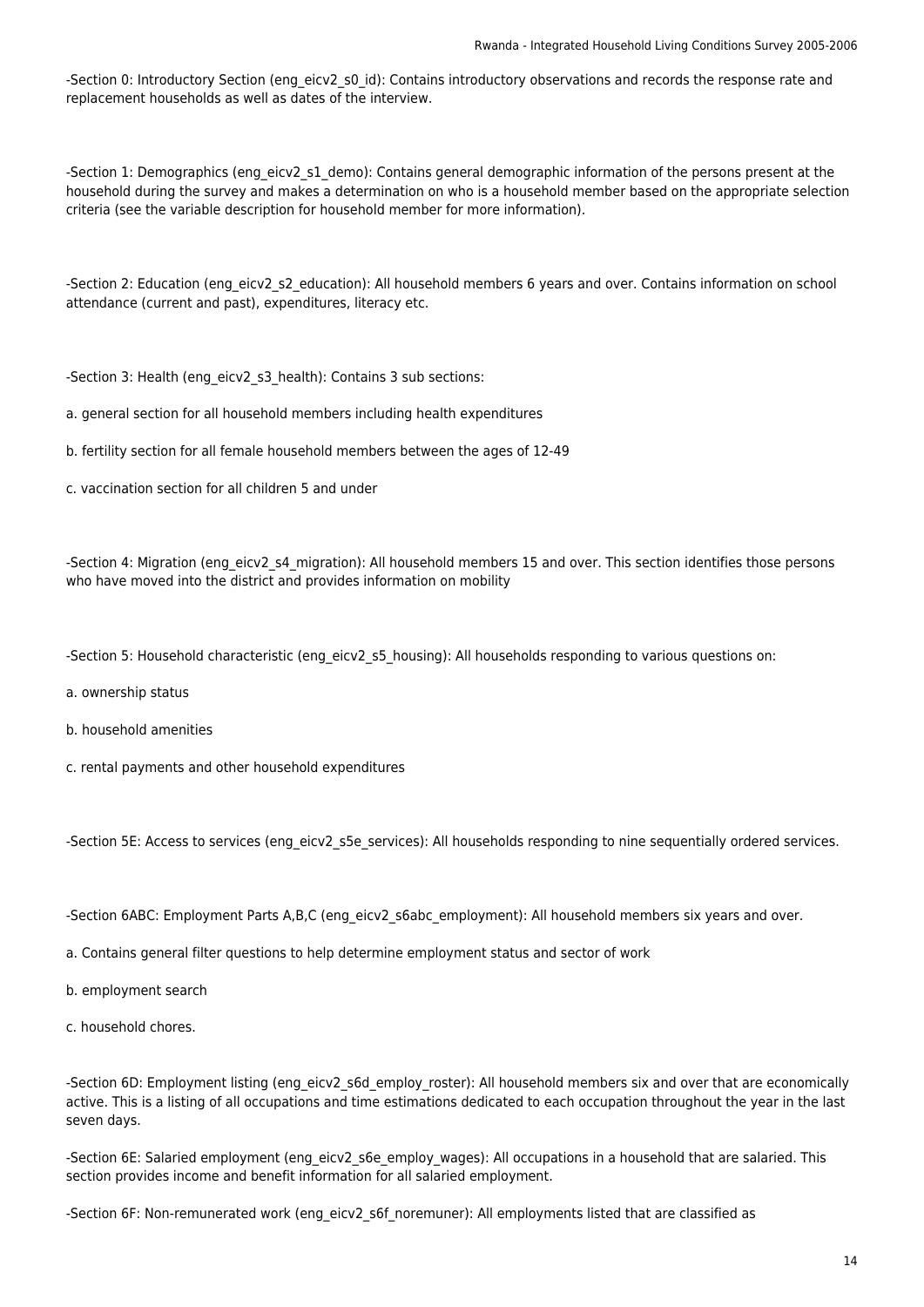-Section 0: Introductory Section (eng\_eicv2\_s0\_id): Contains introductory observations and records the response rate and replacement households as well as dates of the interview.

-Section 1: Demographics (eng\_eicv2\_s1\_demo): Contains general demographic information of the persons present at the household during the survey and makes a determination on who is a household member based on the appropriate selection criteria (see the variable description for household member for more information).

-Section 2: Education (eng\_eicv2\_s2\_education): All household members 6 years and over. Contains information on school attendance (current and past), expenditures, literacy etc.

-Section 3: Health (eng\_eicv2\_s3\_health): Contains 3 sub sections:

- a. general section for all household members including health expenditures
- b. fertility section for all female household members between the ages of 12-49
- c. vaccination section for all children 5 and under

-Section 4: Migration (eng\_eicv2\_s4\_migration): All household members 15 and over. This section identifies those persons who have moved into the district and provides information on mobility

-Section 5: Household characteristic (eng\_eicv2\_s5\_housing): All households responding to various questions on:

- a. ownership status
- b. household amenities
- c. rental payments and other household expenditures

-Section 5E: Access to services (eng\_eicv2\_s5e\_services): All households responding to nine sequentially ordered services.

-Section 6ABC: Employment Parts A,B,C (eng\_eicv2\_s6abc\_employment): All household members six years and over.

- a. Contains general filter questions to help determine employment status and sector of work
- b. employment search
- c. household chores.

-Section 6D: Employment listing (eng\_eicv2\_s6d\_employ\_roster): All household members six and over that are economically active. This is a listing of all occupations and time estimations dedicated to each occupation throughout the year in the last seven days.

-Section 6E: Salaried employment (eng eicv2 s6e employ wages): All occupations in a household that are salaried. This section provides income and benefit information for all salaried employment.

-Section 6F: Non-remunerated work (eng\_eicv2\_s6f\_noremuner): All employments listed that are classified as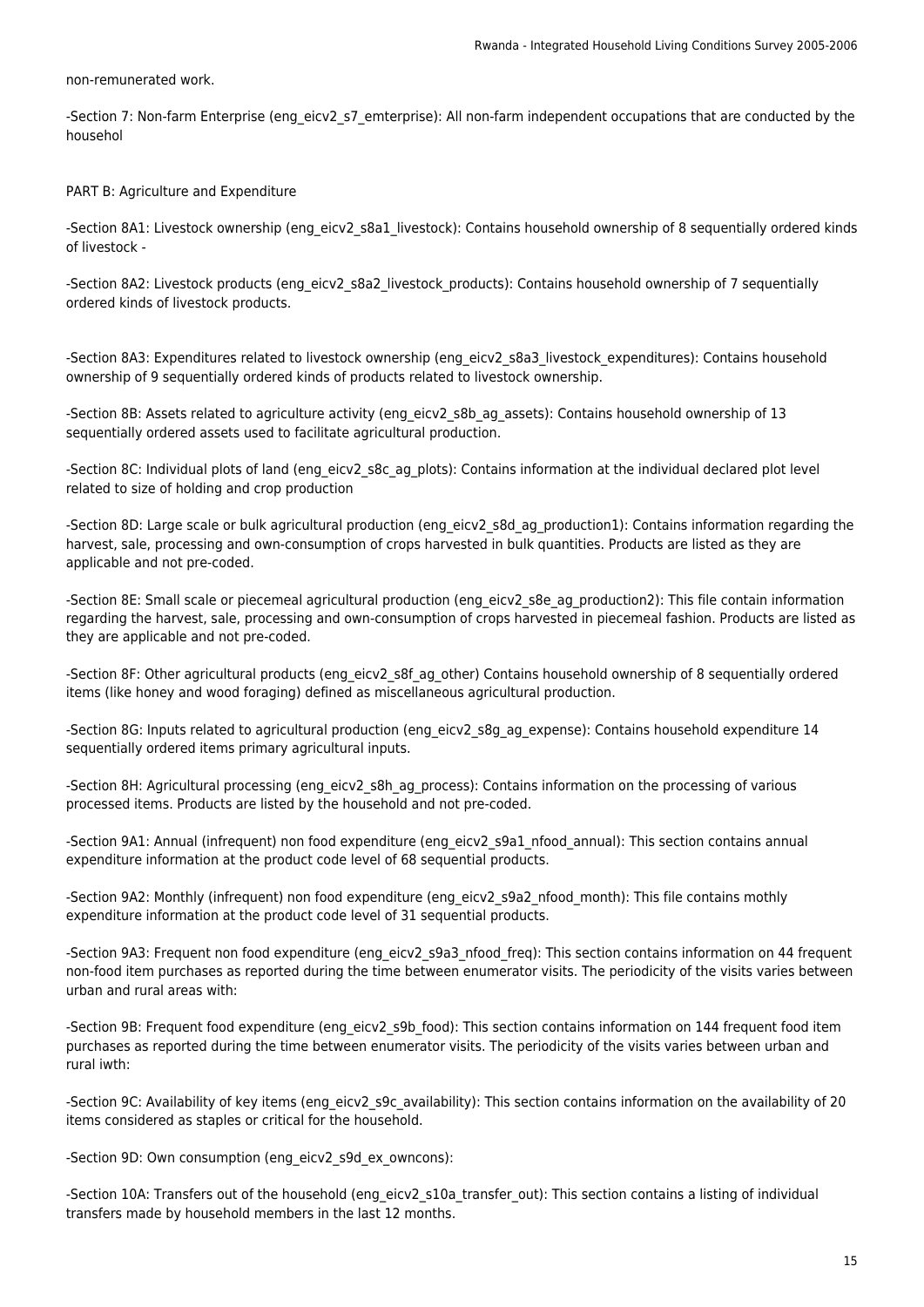non-remunerated work.

-Section 7: Non-farm Enterprise (eng\_eicv2\_s7\_emterprise): All non-farm independent occupations that are conducted by the househol

PART B: Agriculture and Expenditure

-Section 8A1: Livestock ownership (eng\_eicv2\_s8a1\_livestock): Contains household ownership of 8 sequentially ordered kinds of livestock -

-Section 8A2: Livestock products (eng\_eicv2\_s8a2\_livestock\_products): Contains household ownership of 7 sequentially ordered kinds of livestock products.

-Section 8A3: Expenditures related to livestock ownership (eng\_eicv2\_s8a3\_livestock\_expenditures): Contains household ownership of 9 sequentially ordered kinds of products related to livestock ownership.

-Section 8B: Assets related to agriculture activity (eng eicv2 s8b ag assets): Contains household ownership of 13 sequentially ordered assets used to facilitate agricultural production.

-Section 8C: Individual plots of land (eng\_eicv2\_s8c\_ag\_plots): Contains information at the individual declared plot level related to size of holding and crop production

-Section 8D: Large scale or bulk agricultural production (eng eicv2 s8d ag production1): Contains information regarding the harvest, sale, processing and own-consumption of crops harvested in bulk quantities. Products are listed as they are applicable and not pre-coded.

-Section 8E: Small scale or piecemeal agricultural production (eng\_eicv2\_s8e\_ag\_production2): This file contain information regarding the harvest, sale, processing and own-consumption of crops harvested in piecemeal fashion. Products are listed as they are applicable and not pre-coded.

-Section 8F: Other agricultural products (eng\_eicv2\_s8f\_ag\_other) Contains household ownership of 8 sequentially ordered items (like honey and wood foraging) defined as miscellaneous agricultural production.

-Section 8G: Inputs related to agricultural production (eng eicv2 s8g ag expense): Contains household expenditure 14 sequentially ordered items primary agricultural inputs.

-Section 8H: Agricultural processing (eng\_eicv2\_s8h\_ag\_process): Contains information on the processing of various processed items. Products are listed by the household and not pre-coded.

-Section 9A1: Annual (infrequent) non food expenditure (eng eicv2 s9a1 nfood annual): This section contains annual expenditure information at the product code level of 68 sequential products.

-Section 9A2: Monthly (infrequent) non food expenditure (eng\_eicv2\_s9a2\_nfood\_month): This file contains mothly expenditure information at the product code level of 31 sequential products.

-Section 9A3: Frequent non food expenditure (eng eicv2 s9a3 nfood freq): This section contains information on 44 frequent non-food item purchases as reported during the time between enumerator visits. The periodicity of the visits varies between urban and rural areas with:

-Section 9B: Frequent food expenditure (eng eicv2 s9b food): This section contains information on 144 frequent food item purchases as reported during the time between enumerator visits. The periodicity of the visits varies between urban and rural iwth:

-Section 9C: Availability of key items (eng\_eicv2\_s9c\_availability): This section contains information on the availability of 20 items considered as staples or critical for the household.

-Section 9D: Own consumption (eng\_eicv2\_s9d\_ex\_owncons):

-Section 10A: Transfers out of the household (eng\_eicv2\_s10a\_transfer\_out): This section contains a listing of individual transfers made by household members in the last 12 months.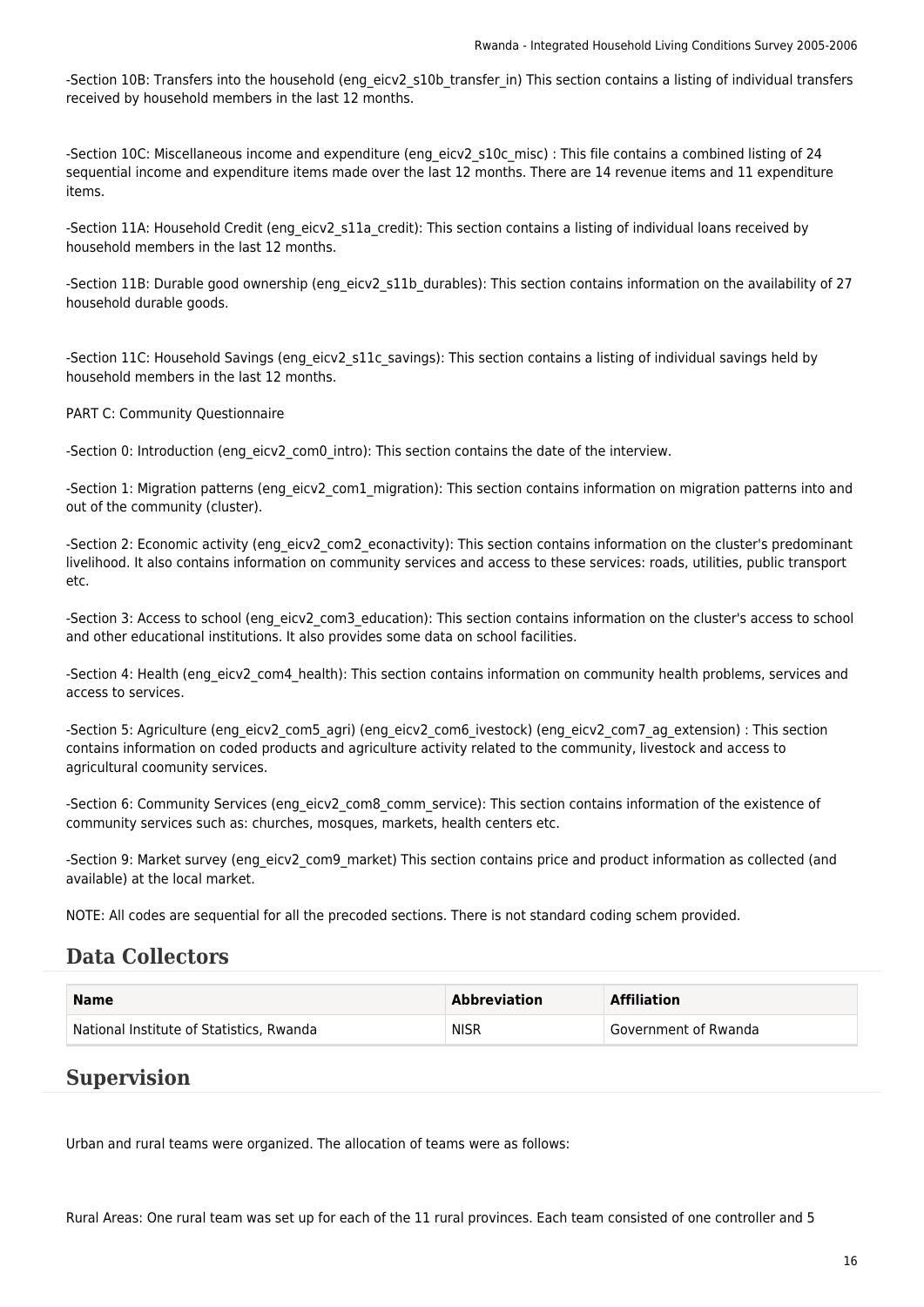-Section 10B: Transfers into the household (eng eicv2 s10b transfer in) This section contains a listing of individual transfers received by household members in the last 12 months.

-Section 10C: Miscellaneous income and expenditure (eng eicv2 s10c misc) : This file contains a combined listing of 24 sequential income and expenditure items made over the last 12 months. There are 14 revenue items and 11 expenditure items.

-Section 11A: Household Credit (eng\_eicv2\_s11a\_credit): This section contains a listing of individual loans received by household members in the last 12 months.

-Section 11B: Durable good ownership (eng\_eicv2\_s11b\_durables): This section contains information on the availability of 27 household durable goods.

-Section 11C: Household Savings (eng\_eicv2\_s11c\_savings): This section contains a listing of individual savings held by household members in the last 12 months.

PART C: Community Questionnaire

-Section 0: Introduction (eng\_eicv2\_com0\_intro): This section contains the date of the interview.

-Section 1: Migration patterns (eng\_eicv2\_com1\_migration): This section contains information on migration patterns into and out of the community (cluster).

-Section 2: Economic activity (eng\_eicv2\_com2\_econactivity): This section contains information on the cluster's predominant livelihood. It also contains information on community services and access to these services: roads, utilities, public transport etc.

-Section 3: Access to school (eng\_eicv2\_com3\_education): This section contains information on the cluster's access to school and other educational institutions. It also provides some data on school facilities.

-Section 4: Health (eng\_eicv2\_com4\_health): This section contains information on community health problems, services and access to services.

-Section 5: Agriculture (eng\_eicv2\_com5\_agri) (eng\_eicv2\_com6\_ivestock) (eng\_eicv2\_com7\_ag\_extension) : This section contains information on coded products and agriculture activity related to the community, livestock and access to agricultural coomunity services.

-Section 6: Community Services (eng\_eicv2\_com8\_comm\_service): This section contains information of the existence of community services such as: churches, mosques, markets, health centers etc.

-Section 9: Market survey (eng\_eicv2\_com9\_market) This section contains price and product information as collected (and available) at the local market.

NOTE: All codes are sequential for all the precoded sections. There is not standard coding schem provided.

#### **Data Collectors**

| <b>Name</b>                              | <b>Abbreviation</b> | <b>Affiliation</b>   |
|------------------------------------------|---------------------|----------------------|
| National Institute of Statistics. Rwanda | <b>NISR</b>         | Government of Rwanda |

#### **Supervision**

Urban and rural teams were organized. The allocation of teams were as follows:

Rural Areas: One rural team was set up for each of the 11 rural provinces. Each team consisted of one controller and 5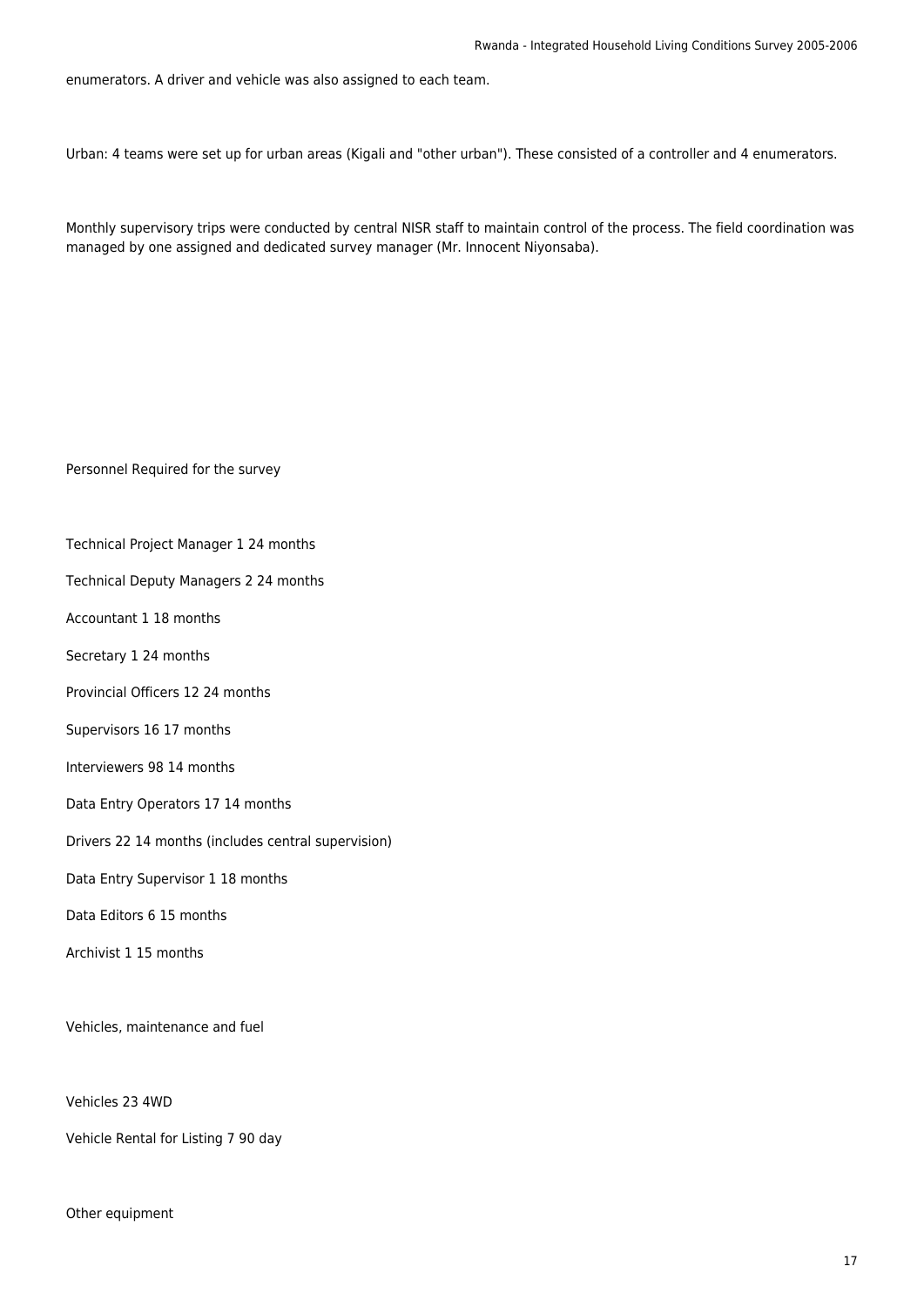enumerators. A driver and vehicle was also assigned to each team.

Urban: 4 teams were set up for urban areas (Kigali and "other urban"). These consisted of a controller and 4 enumerators.

Monthly supervisory trips were conducted by central NISR staff to maintain control of the process. The field coordination was managed by one assigned and dedicated survey manager (Mr. Innocent Niyonsaba).

#### Personnel Required for the survey

Technical Project Manager 1 24 months

Technical Deputy Managers 2 24 months

- Accountant 1 18 months
- Secretary 1 24 months
- Provincial Officers 12 24 months
- Supervisors 16 17 months
- Interviewers 98 14 months
- Data Entry Operators 17 14 months
- Drivers 22 14 months (includes central supervision)
- Data Entry Supervisor 1 18 months
- Data Editors 6 15 months
- Archivist 1 15 months

Vehicles, maintenance and fuel

Vehicles 23 4WD

Vehicle Rental for Listing 7 90 day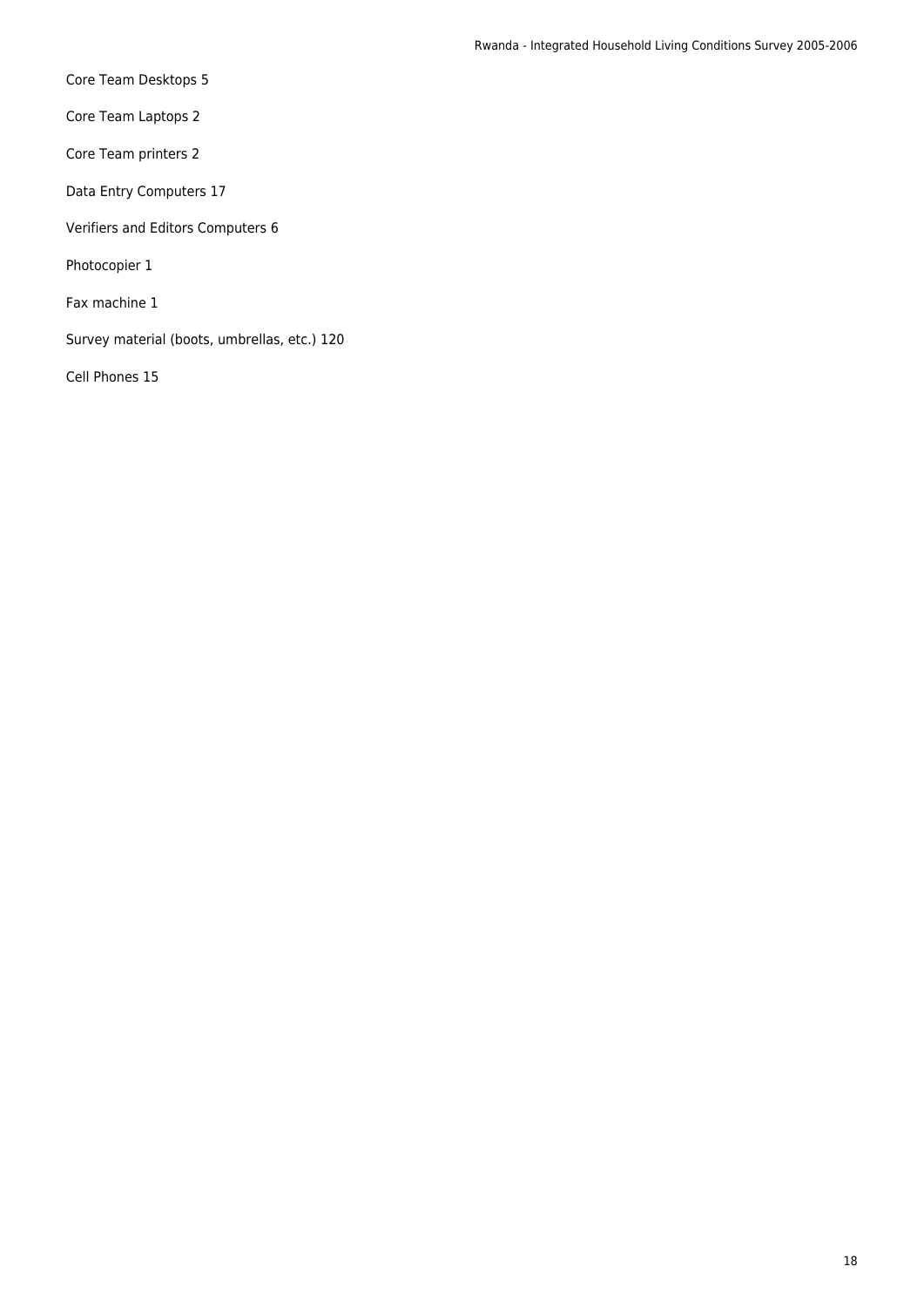- Core Team Desktops 5
- Core Team Laptops 2
- Core Team printers 2
- Data Entry Computers 17
- Verifiers and Editors Computers 6
- Photocopier 1
- Fax machine 1
- Survey material (boots, umbrellas, etc.) 120
- Cell Phones 15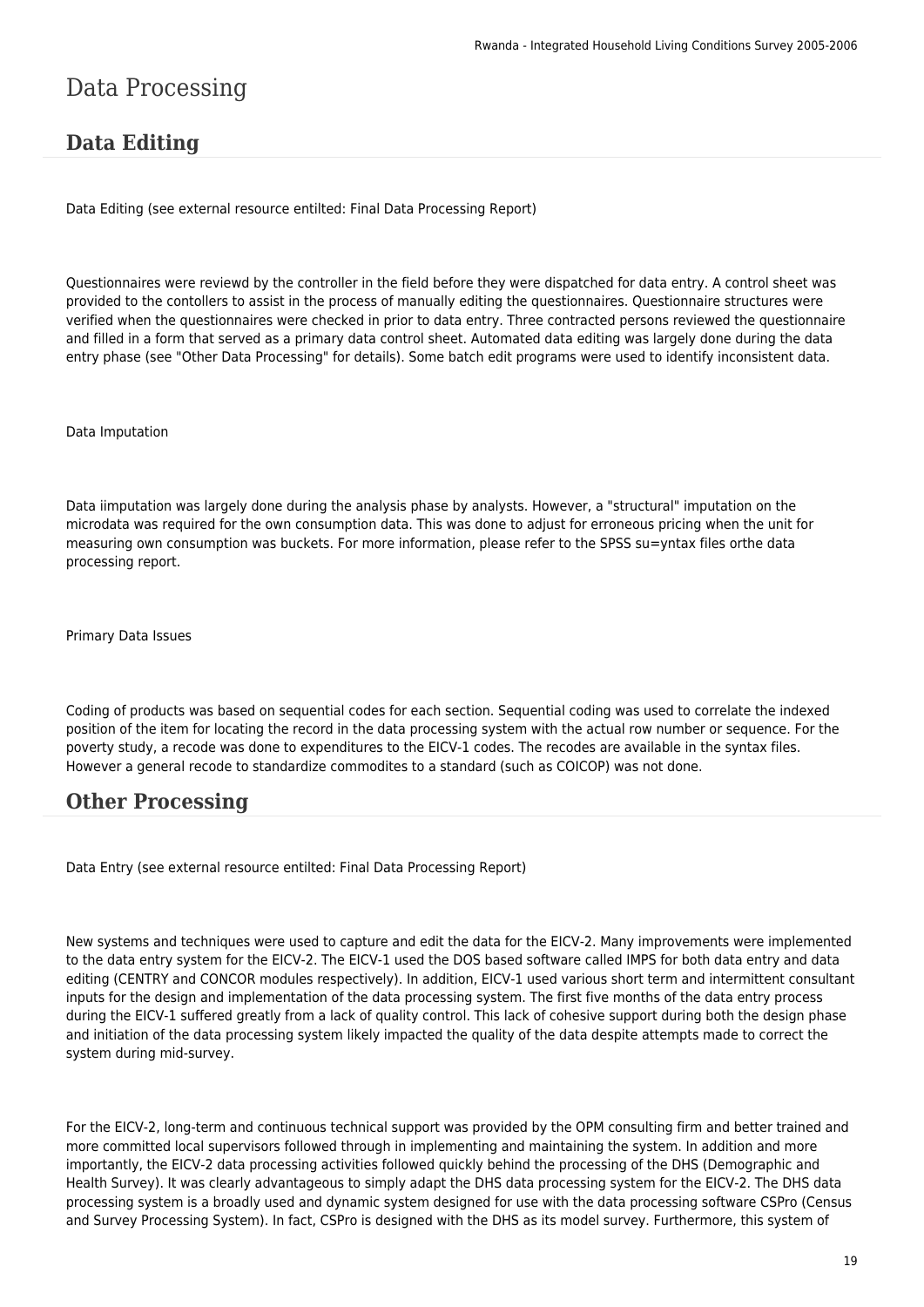# Data Processing

### **Data Editing**

Data Editing (see external resource entilted: Final Data Processing Report)

Questionnaires were reviewd by the controller in the field before they were dispatched for data entry. A control sheet was provided to the contollers to assist in the process of manually editing the questionnaires. Questionnaire structures were verified when the questionnaires were checked in prior to data entry. Three contracted persons reviewed the questionnaire and filled in a form that served as a primary data control sheet. Automated data editing was largely done during the data entry phase (see "Other Data Processing" for details). Some batch edit programs were used to identify inconsistent data.

Data Imputation

Data iimputation was largely done during the analysis phase by analysts. However, a "structural" imputation on the microdata was required for the own consumption data. This was done to adjust for erroneous pricing when the unit for measuring own consumption was buckets. For more information, please refer to the SPSS su=yntax files orthe data processing report.

Primary Data Issues

Coding of products was based on sequential codes for each section. Sequential coding was used to correlate the indexed position of the item for locating the record in the data processing system with the actual row number or sequence. For the poverty study, a recode was done to expenditures to the EICV-1 codes. The recodes are available in the syntax files. However a general recode to standardize commodites to a standard (such as COICOP) was not done.

#### **Other Processing**

Data Entry (see external resource entilted: Final Data Processing Report)

New systems and techniques were used to capture and edit the data for the EICV-2. Many improvements were implemented to the data entry system for the EICV-2. The EICV-1 used the DOS based software called IMPS for both data entry and data editing (CENTRY and CONCOR modules respectively). In addition, EICV-1 used various short term and intermittent consultant inputs for the design and implementation of the data processing system. The first five months of the data entry process during the EICV-1 suffered greatly from a lack of quality control. This lack of cohesive support during both the design phase and initiation of the data processing system likely impacted the quality of the data despite attempts made to correct the system during mid-survey.

For the EICV-2, long-term and continuous technical support was provided by the OPM consulting firm and better trained and more committed local supervisors followed through in implementing and maintaining the system. In addition and more importantly, the EICV-2 data processing activities followed quickly behind the processing of the DHS (Demographic and Health Survey). It was clearly advantageous to simply adapt the DHS data processing system for the EICV-2. The DHS data processing system is a broadly used and dynamic system designed for use with the data processing software CSPro (Census and Survey Processing System). In fact, CSPro is designed with the DHS as its model survey. Furthermore, this system of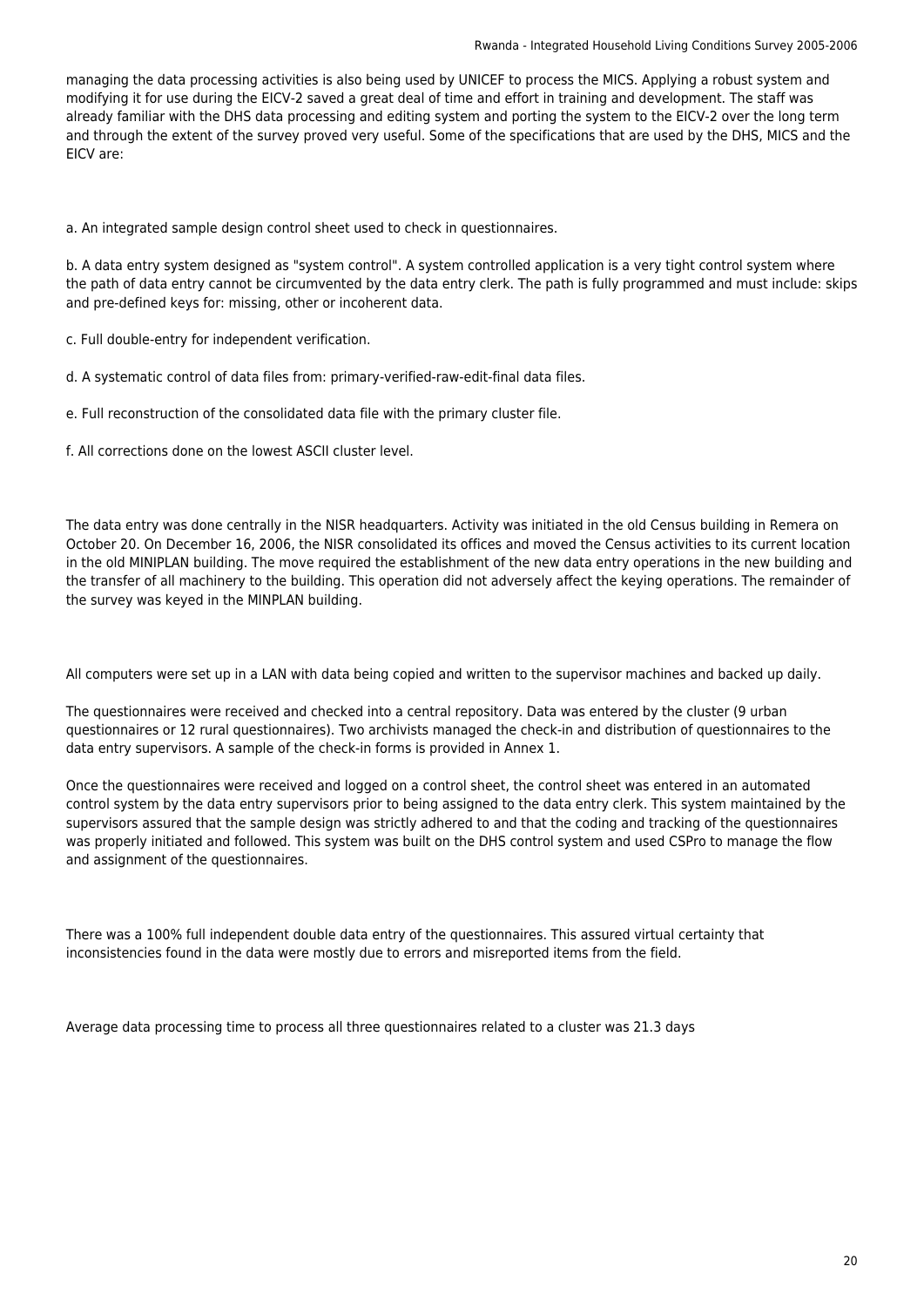managing the data processing activities is also being used by UNICEF to process the MICS. Applying a robust system and modifying it for use during the EICV-2 saved a great deal of time and effort in training and development. The staff was already familiar with the DHS data processing and editing system and porting the system to the EICV-2 over the long term and through the extent of the survey proved very useful. Some of the specifications that are used by the DHS, MICS and the EICV are:

a. An integrated sample design control sheet used to check in questionnaires.

b. A data entry system designed as "system control". A system controlled application is a very tight control system where the path of data entry cannot be circumvented by the data entry clerk. The path is fully programmed and must include: skips and pre-defined keys for: missing, other or incoherent data.

c. Full double-entry for independent verification.

- d. A systematic control of data files from: primary-verified-raw-edit-final data files.
- e. Full reconstruction of the consolidated data file with the primary cluster file.
- f. All corrections done on the lowest ASCII cluster level.

The data entry was done centrally in the NISR headquarters. Activity was initiated in the old Census building in Remera on October 20. On December 16, 2006, the NISR consolidated its offices and moved the Census activities to its current location in the old MINIPLAN building. The move required the establishment of the new data entry operations in the new building and the transfer of all machinery to the building. This operation did not adversely affect the keying operations. The remainder of the survey was keyed in the MINPLAN building.

All computers were set up in a LAN with data being copied and written to the supervisor machines and backed up daily.

The questionnaires were received and checked into a central repository. Data was entered by the cluster (9 urban questionnaires or 12 rural questionnaires). Two archivists managed the check-in and distribution of questionnaires to the data entry supervisors. A sample of the check-in forms is provided in Annex 1.

Once the questionnaires were received and logged on a control sheet, the control sheet was entered in an automated control system by the data entry supervisors prior to being assigned to the data entry clerk. This system maintained by the supervisors assured that the sample design was strictly adhered to and that the coding and tracking of the questionnaires was properly initiated and followed. This system was built on the DHS control system and used CSPro to manage the flow and assignment of the questionnaires.

There was a 100% full independent double data entry of the questionnaires. This assured virtual certainty that inconsistencies found in the data were mostly due to errors and misreported items from the field.

Average data processing time to process all three questionnaires related to a cluster was 21.3 days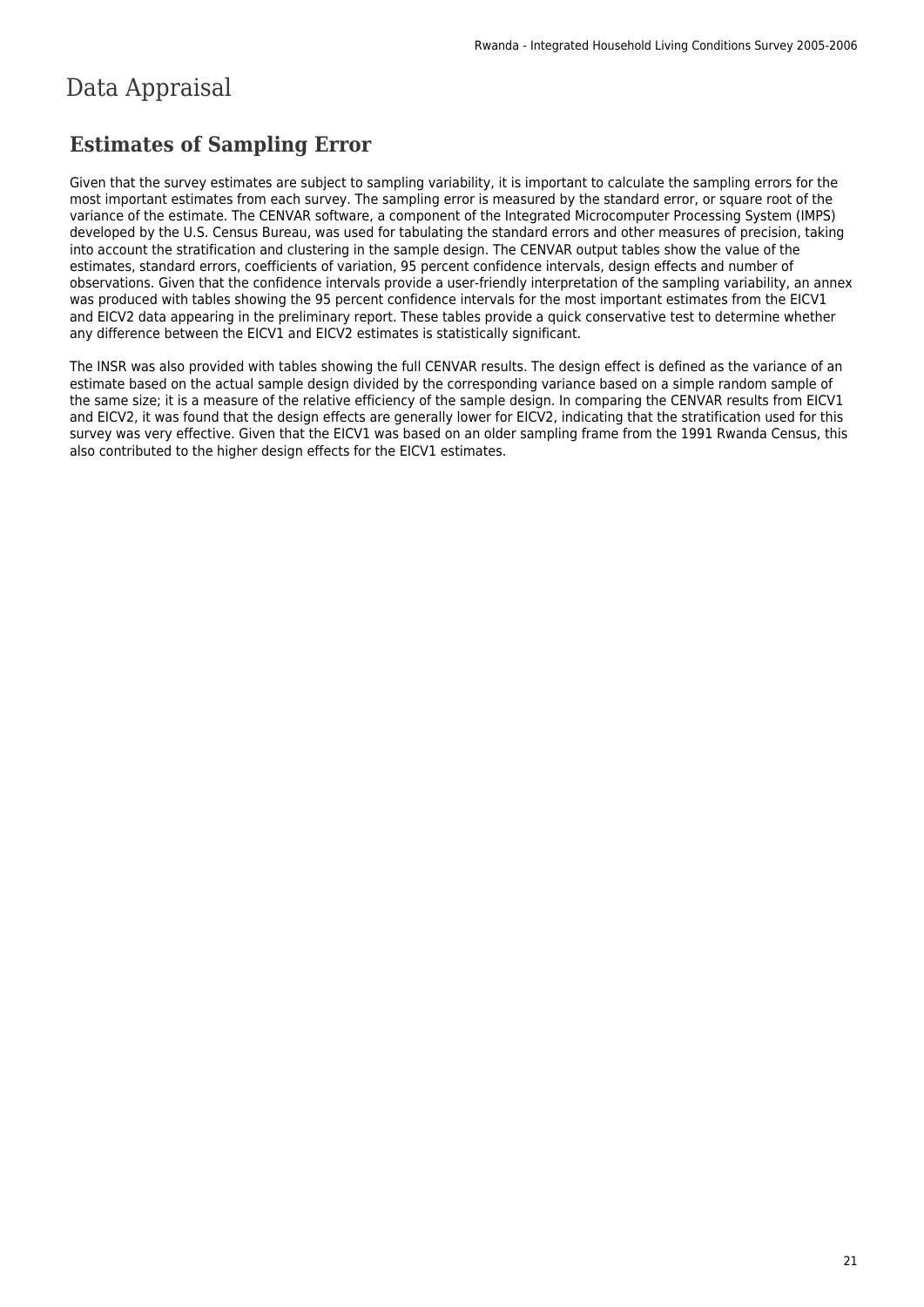# Data Appraisal

### **Estimates of Sampling Error**

Given that the survey estimates are subject to sampling variability, it is important to calculate the sampling errors for the most important estimates from each survey. The sampling error is measured by the standard error, or square root of the variance of the estimate. The CENVAR software, a component of the Integrated Microcomputer Processing System (IMPS) developed by the U.S. Census Bureau, was used for tabulating the standard errors and other measures of precision, taking into account the stratification and clustering in the sample design. The CENVAR output tables show the value of the estimates, standard errors, coefficients of variation, 95 percent confidence intervals, design effects and number of observations. Given that the confidence intervals provide a user-friendly interpretation of the sampling variability, an annex was produced with tables showing the 95 percent confidence intervals for the most important estimates from the EICV1 and EICV2 data appearing in the preliminary report. These tables provide a quick conservative test to determine whether any difference between the EICV1 and EICV2 estimates is statistically significant.

The INSR was also provided with tables showing the full CENVAR results. The design effect is defined as the variance of an estimate based on the actual sample design divided by the corresponding variance based on a simple random sample of the same size; it is a measure of the relative efficiency of the sample design. In comparing the CENVAR results from EICV1 and EICV2, it was found that the design effects are generally lower for EICV2, indicating that the stratification used for this survey was very effective. Given that the EICV1 was based on an older sampling frame from the 1991 Rwanda Census, this also contributed to the higher design effects for the EICV1 estimates.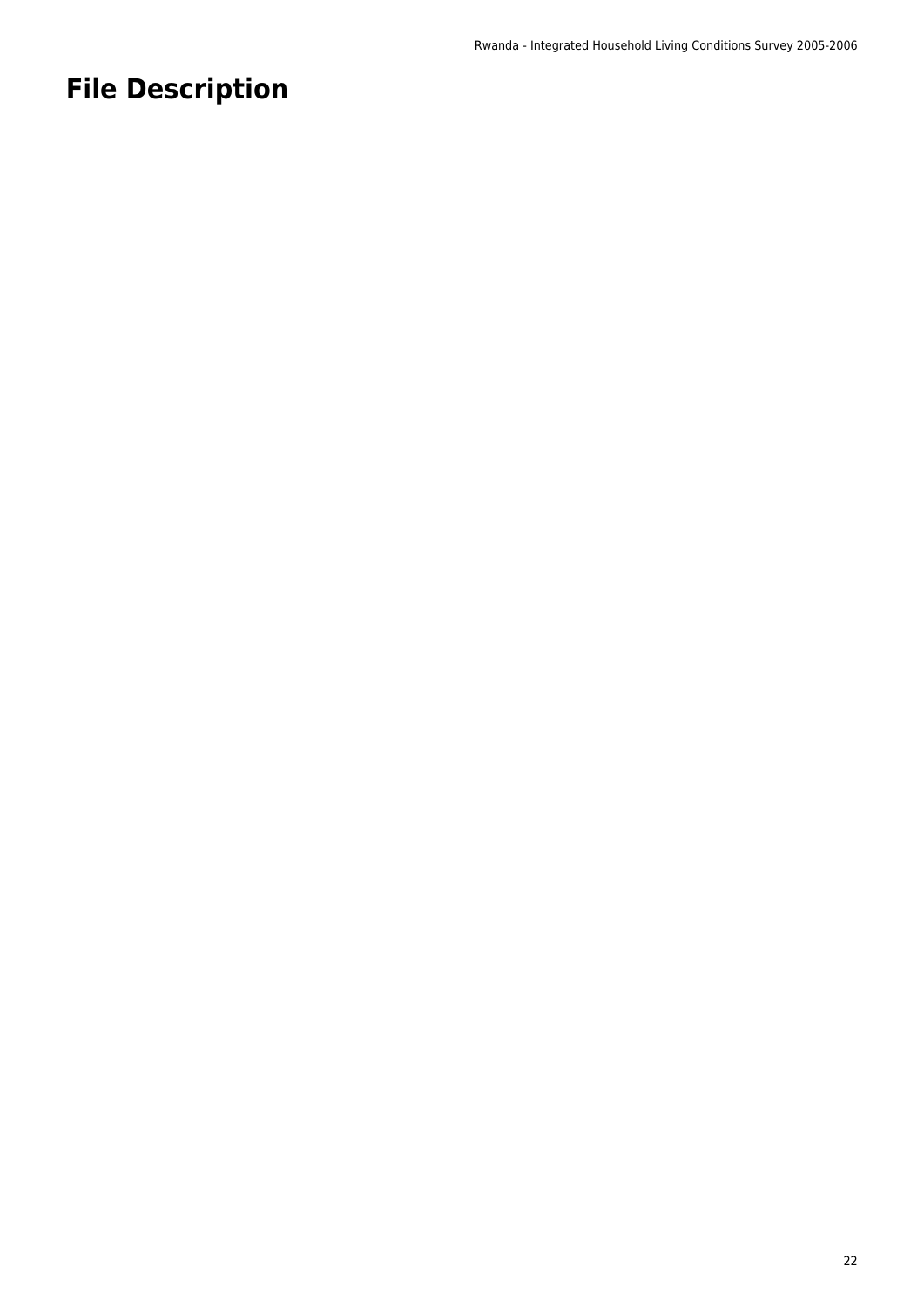# **File Description**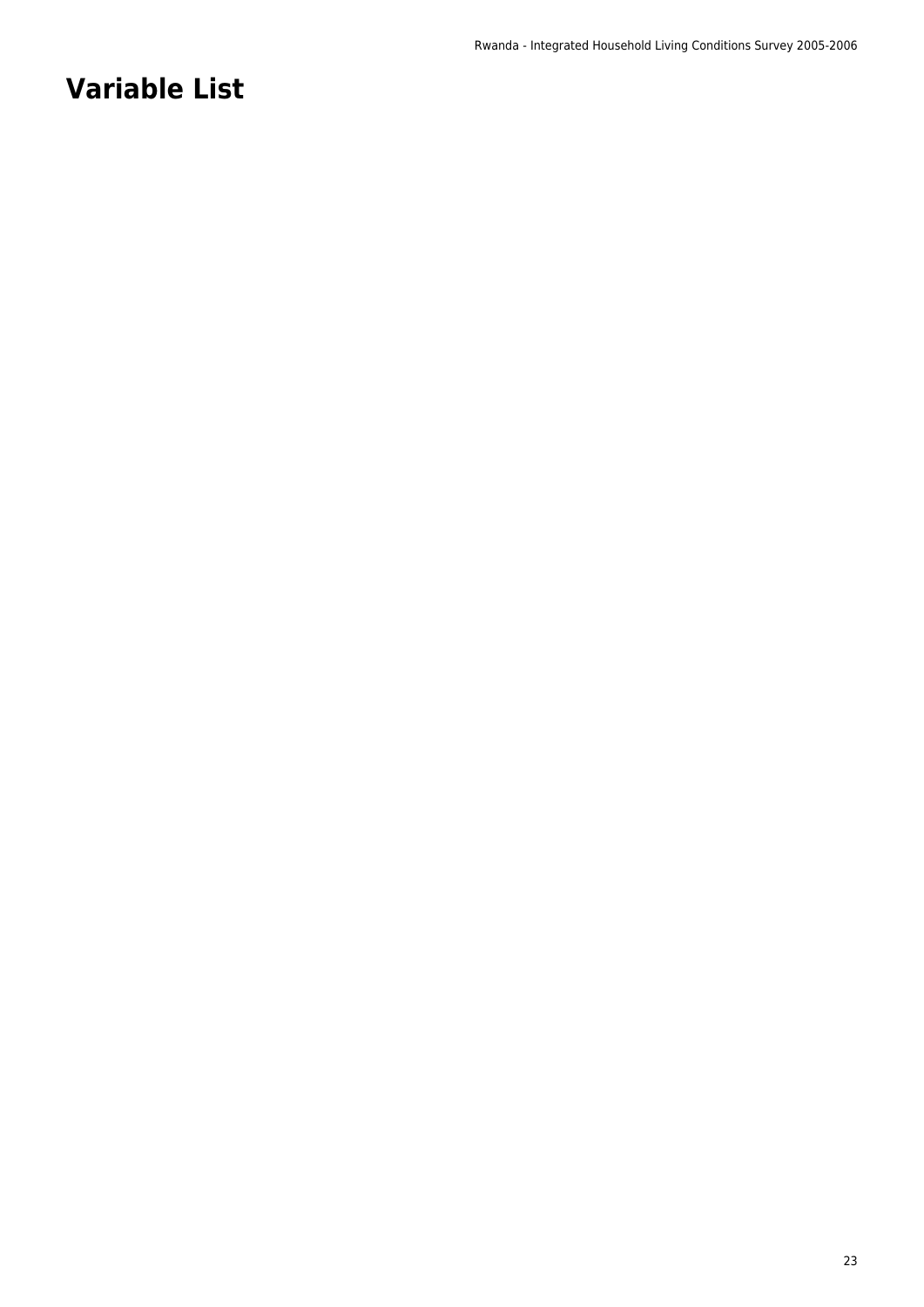# **Variable List**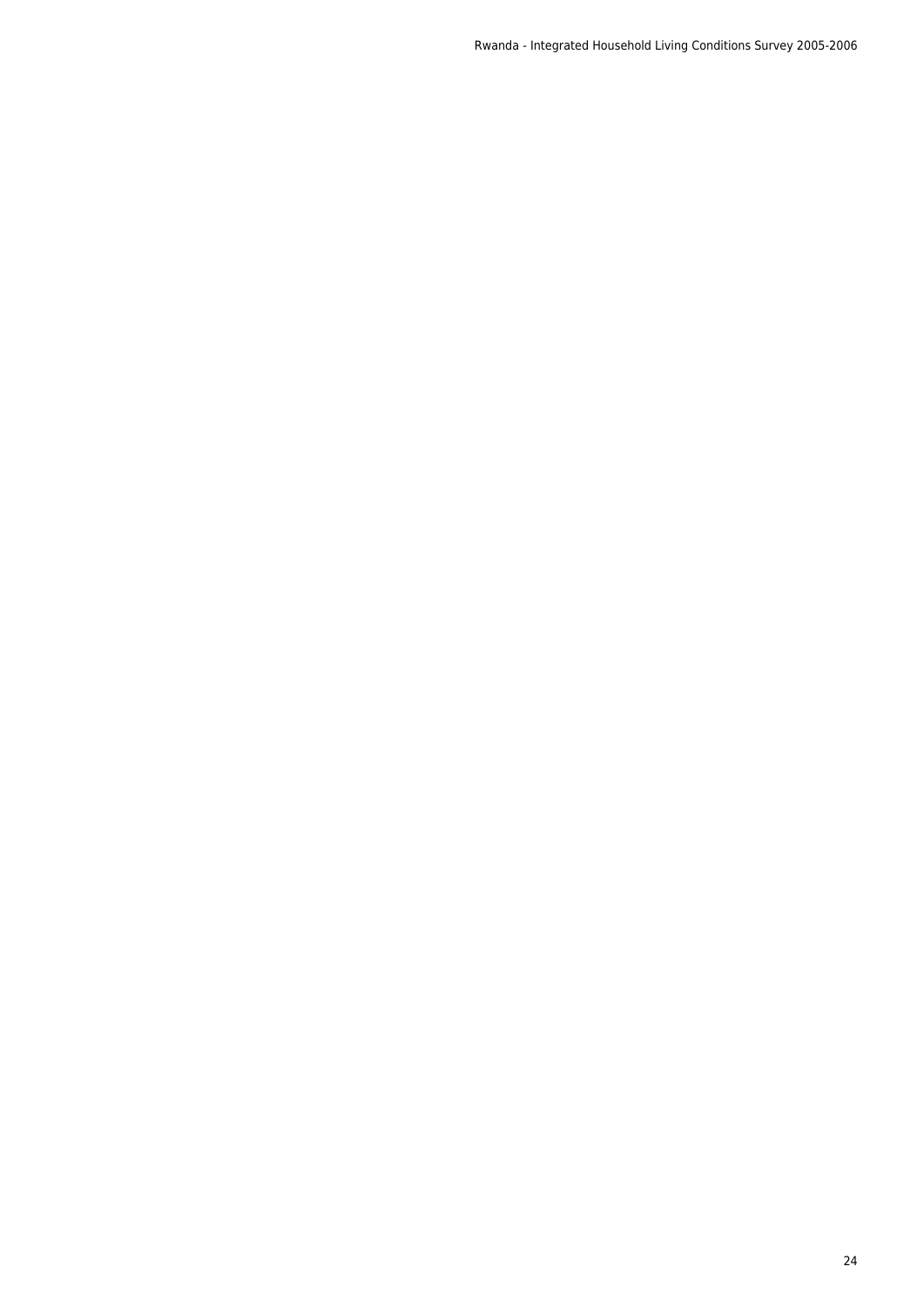Rwanda - Integrated Household Living Conditions Survey 2005-2006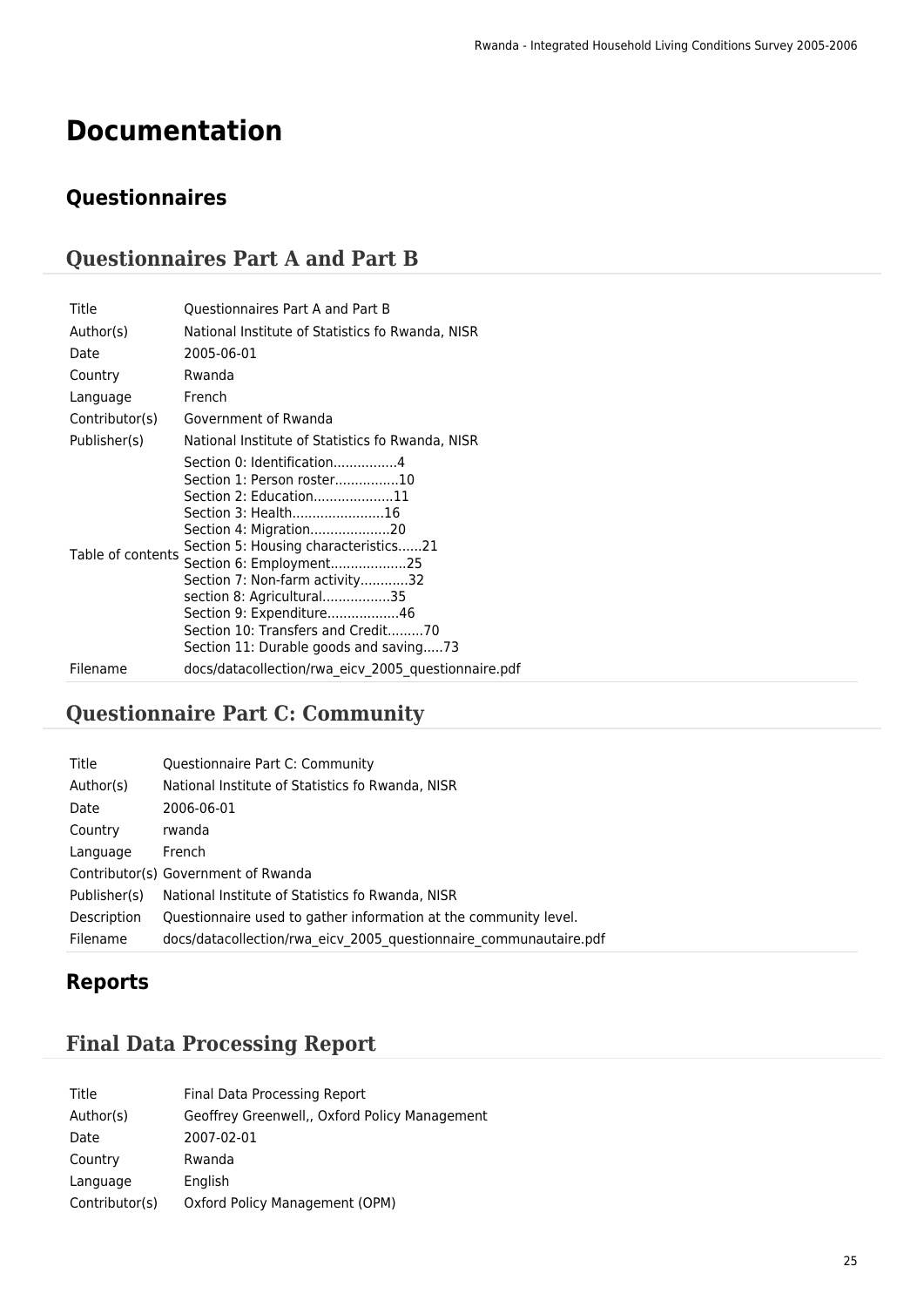# **Documentation**

### **Questionnaires**

### **Questionnaires Part A and Part B**

| Title             | Questionnaires Part A and Part B                                                                                                                                                                                                                                                                                                                                                  |
|-------------------|-----------------------------------------------------------------------------------------------------------------------------------------------------------------------------------------------------------------------------------------------------------------------------------------------------------------------------------------------------------------------------------|
| Author(s)         | National Institute of Statistics fo Rwanda, NISR                                                                                                                                                                                                                                                                                                                                  |
| Date              | 2005-06-01                                                                                                                                                                                                                                                                                                                                                                        |
| Country           | Rwanda                                                                                                                                                                                                                                                                                                                                                                            |
| Language          | French                                                                                                                                                                                                                                                                                                                                                                            |
| Contributor(s)    | Government of Rwanda                                                                                                                                                                                                                                                                                                                                                              |
| Publisher(s)      | National Institute of Statistics fo Rwanda, NISR                                                                                                                                                                                                                                                                                                                                  |
| Table of contents | Section 0: Identification4<br>Section 1: Person roster10<br>Section 2: Education11<br>Section 3: Health16<br>Section 4: Migration20<br>Section 5: Housing characteristics21<br>Section 6: Employment25<br>Section 7: Non-farm activity32<br>section 8: Agricultural35<br>Section 9: Expenditure46<br>Section 10: Transfers and Credit70<br>Section 11: Durable goods and saving73 |
| Filename          | docs/datacollection/rwa eicy 2005 questionnaire.pdf                                                                                                                                                                                                                                                                                                                               |

# **Questionnaire Part C: Community**

| Title        | Questionnaire Part C: Community                                   |
|--------------|-------------------------------------------------------------------|
| Author(s)    | National Institute of Statistics fo Rwanda, NISR                  |
| Date         | 2006-06-01                                                        |
| Country      | rwanda                                                            |
| Language     | French                                                            |
|              | Contributor(s) Government of Rwanda                               |
| Publisher(s) | National Institute of Statistics fo Rwanda, NISR                  |
| Description  | Questionnaire used to gather information at the community level.  |
| Filename     | docs/datacollection/rwa eicv 2005 questionnaire communautaire.pdf |

### **Reports**

#### **Final Data Processing Report**

| Title          | Final Data Processing Report                  |
|----------------|-----------------------------------------------|
| Author(s)      | Geoffrey Greenwell,, Oxford Policy Management |
| Date           | 2007-02-01                                    |
| Country        | Rwanda                                        |
| Language       | English                                       |
| Contributor(s) | Oxford Policy Management (OPM)                |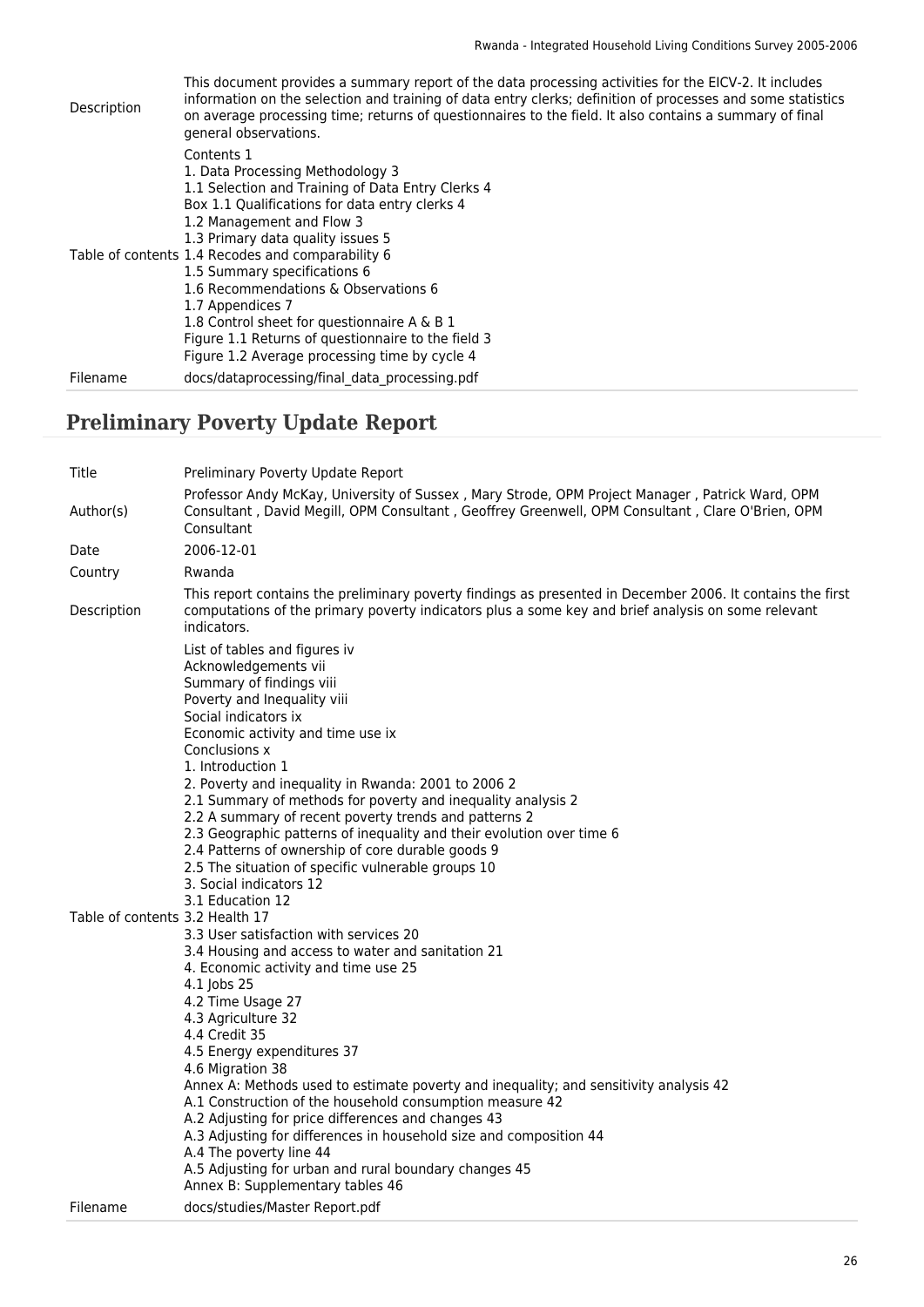| Description | This document provides a summary report of the data processing activities for the EICV-2. It includes<br>information on the selection and training of data entry clerks; definition of processes and some statistics<br>on average processing time; returns of questionnaires to the field. It also contains a summary of final<br>general observations. |
|-------------|----------------------------------------------------------------------------------------------------------------------------------------------------------------------------------------------------------------------------------------------------------------------------------------------------------------------------------------------------------|
|             | Contents 1<br>1. Data Processing Methodology 3<br>1.1 Selection and Training of Data Entry Clerks 4<br>Box 1.1 Qualifications for data entry clerks 4<br>1.2 Management and Flow 3<br>1.3 Primary data quality issues 5                                                                                                                                  |
|             | Table of contents 1.4 Recodes and comparability 6<br>1.5 Summary specifications 6<br>1.6 Recommendations & Observations 6<br>1.7 Appendices 7<br>1.8 Control sheet for questionnaire A & B 1<br>Figure 1.1 Returns of questionnaire to the field 3<br>Figure 1.2 Average processing time by cycle 4                                                      |
| Filename    | docs/dataprocessing/final data processing.pdf                                                                                                                                                                                                                                                                                                            |

# **Preliminary Poverty Update Report**

| Title                           | Preliminary Poverty Update Report                                                                                                                                                                                                                                                                                                                                                                                                                                                                                                                                                                                                      |
|---------------------------------|----------------------------------------------------------------------------------------------------------------------------------------------------------------------------------------------------------------------------------------------------------------------------------------------------------------------------------------------------------------------------------------------------------------------------------------------------------------------------------------------------------------------------------------------------------------------------------------------------------------------------------------|
| Author(s)                       | Professor Andy McKay, University of Sussex, Mary Strode, OPM Project Manager, Patrick Ward, OPM<br>Consultant, David Megill, OPM Consultant, Geoffrey Greenwell, OPM Consultant, Clare O'Brien, OPM<br>Consultant                                                                                                                                                                                                                                                                                                                                                                                                                      |
| Date                            | 2006-12-01                                                                                                                                                                                                                                                                                                                                                                                                                                                                                                                                                                                                                             |
| Country                         | Rwanda                                                                                                                                                                                                                                                                                                                                                                                                                                                                                                                                                                                                                                 |
| Description                     | This report contains the preliminary poverty findings as presented in December 2006. It contains the first<br>computations of the primary poverty indicators plus a some key and brief analysis on some relevant<br>indicators.                                                                                                                                                                                                                                                                                                                                                                                                        |
|                                 | List of tables and figures iv<br>Acknowledgements vii<br>Summary of findings viii<br>Poverty and Inequality viii<br>Social indicators ix<br>Economic activity and time use ix<br>Conclusions x<br>1. Introduction 1<br>2. Poverty and inequality in Rwanda: 2001 to 2006 2<br>2.1 Summary of methods for poverty and inequality analysis 2<br>2.2 A summary of recent poverty trends and patterns 2<br>2.3 Geographic patterns of inequality and their evolution over time 6<br>2.4 Patterns of ownership of core durable goods 9<br>2.5 The situation of specific vulnerable groups 10<br>3. Social indicators 12<br>3.1 Education 12 |
| Table of contents 3.2 Health 17 |                                                                                                                                                                                                                                                                                                                                                                                                                                                                                                                                                                                                                                        |
|                                 | 3.3 User satisfaction with services 20<br>3.4 Housing and access to water and sanitation 21                                                                                                                                                                                                                                                                                                                                                                                                                                                                                                                                            |
|                                 | 4. Economic activity and time use 25                                                                                                                                                                                                                                                                                                                                                                                                                                                                                                                                                                                                   |
|                                 | 4.1 Jobs 25                                                                                                                                                                                                                                                                                                                                                                                                                                                                                                                                                                                                                            |
|                                 | 4.2 Time Usage 27                                                                                                                                                                                                                                                                                                                                                                                                                                                                                                                                                                                                                      |
|                                 | 4.3 Agriculture 32                                                                                                                                                                                                                                                                                                                                                                                                                                                                                                                                                                                                                     |
|                                 | 4.4 Credit 35                                                                                                                                                                                                                                                                                                                                                                                                                                                                                                                                                                                                                          |
|                                 | 4.5 Energy expenditures 37                                                                                                                                                                                                                                                                                                                                                                                                                                                                                                                                                                                                             |
|                                 | 4.6 Migration 38                                                                                                                                                                                                                                                                                                                                                                                                                                                                                                                                                                                                                       |
|                                 | Annex A: Methods used to estimate poverty and inequality; and sensitivity analysis 42                                                                                                                                                                                                                                                                                                                                                                                                                                                                                                                                                  |
|                                 | A.1 Construction of the household consumption measure 42                                                                                                                                                                                                                                                                                                                                                                                                                                                                                                                                                                               |
|                                 | A.2 Adjusting for price differences and changes 43<br>A.3 Adjusting for differences in household size and composition 44                                                                                                                                                                                                                                                                                                                                                                                                                                                                                                               |
|                                 | A.4 The poverty line 44                                                                                                                                                                                                                                                                                                                                                                                                                                                                                                                                                                                                                |
|                                 | A.5 Adjusting for urban and rural boundary changes 45                                                                                                                                                                                                                                                                                                                                                                                                                                                                                                                                                                                  |
|                                 | Annex B: Supplementary tables 46                                                                                                                                                                                                                                                                                                                                                                                                                                                                                                                                                                                                       |
| Filename                        | docs/studies/Master Report.pdf                                                                                                                                                                                                                                                                                                                                                                                                                                                                                                                                                                                                         |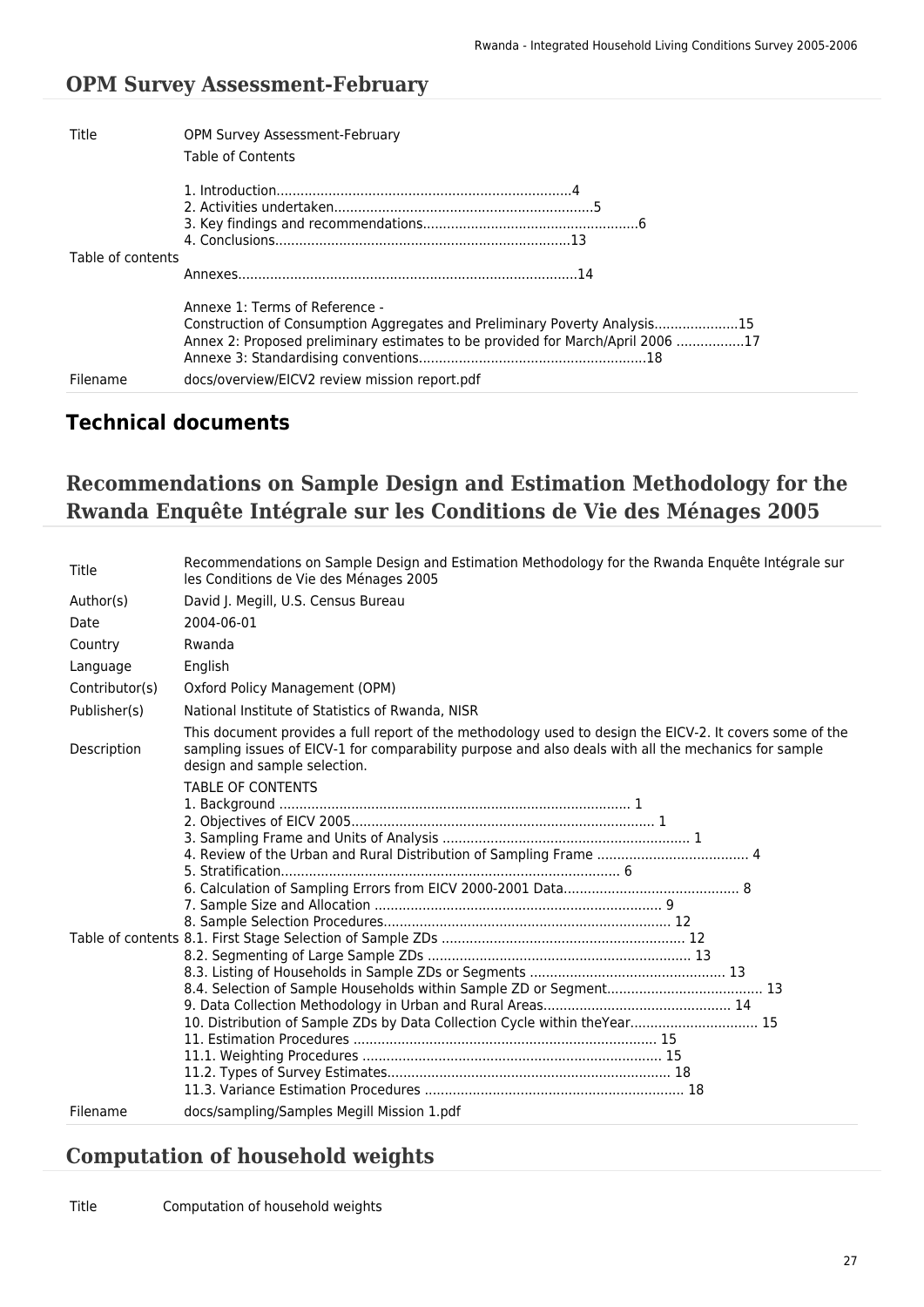#### **OPM Survey Assessment-February**

| Title             | OPM Survey Assessment-February<br>Table of Contents                                                                                                                                           |
|-------------------|-----------------------------------------------------------------------------------------------------------------------------------------------------------------------------------------------|
| Table of contents |                                                                                                                                                                                               |
|                   |                                                                                                                                                                                               |
|                   | Annexe 1: Terms of Reference -<br>Construction of Consumption Aggregates and Preliminary Poverty Analysis15<br>Annex 2: Proposed preliminary estimates to be provided for March/April 2006 17 |
| Filename          | docs/overview/EICV2 review mission report.pdf                                                                                                                                                 |

### **Technical documents**

### **Recommendations on Sample Design and Estimation Methodology for the Rwanda Enquête Intégrale sur les Conditions de Vie des Ménages 2005**

| Title          | Recommendations on Sample Design and Estimation Methodology for the Rwanda Enquête Intégrale sur<br>les Conditions de Vie des Ménages 2005                                                                                                       |
|----------------|--------------------------------------------------------------------------------------------------------------------------------------------------------------------------------------------------------------------------------------------------|
| Author(s)      | David J. Megill, U.S. Census Bureau                                                                                                                                                                                                              |
| Date           | 2004-06-01                                                                                                                                                                                                                                       |
| Country        | Rwanda                                                                                                                                                                                                                                           |
| Language       | English                                                                                                                                                                                                                                          |
| Contributor(s) | Oxford Policy Management (OPM)                                                                                                                                                                                                                   |
| Publisher(s)   | National Institute of Statistics of Rwanda, NISR                                                                                                                                                                                                 |
| Description    | This document provides a full report of the methodology used to design the EICV-2. It covers some of the<br>sampling issues of EICV-1 for comparability purpose and also deals with all the mechanics for sample<br>design and sample selection. |
|                | <b>TABLE OF CONTENTS</b><br>4. Review of the Urban and Rural Distribution of Sampling Frame  4<br>10. Distribution of Sample ZDs by Data Collection Cycle within the Year 15                                                                     |
| Filename       | docs/sampling/Samples Megill Mission 1.pdf                                                                                                                                                                                                       |

### **Computation of household weights**

Title Computation of household weights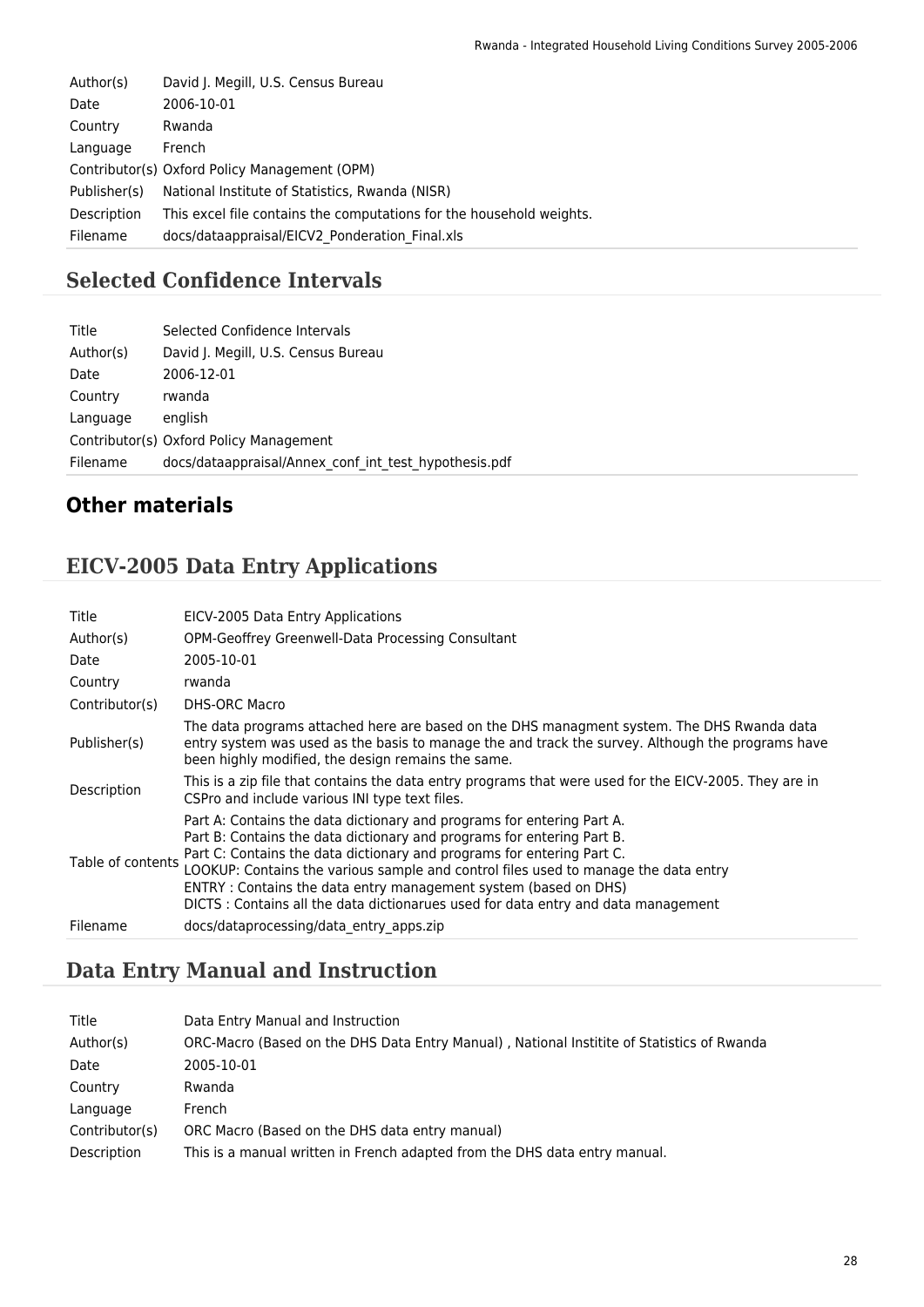| Author(s)    | David J. Megill, U.S. Census Bureau                                  |
|--------------|----------------------------------------------------------------------|
| Date         | 2006-10-01                                                           |
| Country      | Rwanda                                                               |
| Language     | French                                                               |
|              | Contributor(s) Oxford Policy Management (OPM)                        |
| Publisher(s) | National Institute of Statistics, Rwanda (NISR)                      |
| Description  | This excel file contains the computations for the household weights. |
| Filename     | docs/dataappraisal/EICV2 Ponderation Final.xls                       |

### **Selected Confidence Intervals**

| Title     | Selected Confidence Intervals                         |
|-----------|-------------------------------------------------------|
| Author(s) | David J. Megill, U.S. Census Bureau                   |
| Date      | 2006-12-01                                            |
| Country   | rwanda                                                |
| Language  | english                                               |
|           | Contributor(s) Oxford Policy Management               |
| Filename  | docs/dataappraisal/Annex conf int test hypothesis.pdf |

### **Other materials**

### **EICV-2005 Data Entry Applications**

| Title             | EICV-2005 Data Entry Applications                                                                                                                                                                                                                                                                                                                                                                                                                                           |
|-------------------|-----------------------------------------------------------------------------------------------------------------------------------------------------------------------------------------------------------------------------------------------------------------------------------------------------------------------------------------------------------------------------------------------------------------------------------------------------------------------------|
| Author(s)         | OPM-Geoffrey Greenwell-Data Processing Consultant                                                                                                                                                                                                                                                                                                                                                                                                                           |
| Date              | 2005-10-01                                                                                                                                                                                                                                                                                                                                                                                                                                                                  |
| Country           | rwanda                                                                                                                                                                                                                                                                                                                                                                                                                                                                      |
| Contributor(s)    | <b>DHS-ORC Macro</b>                                                                                                                                                                                                                                                                                                                                                                                                                                                        |
| Publisher(s)      | The data programs attached here are based on the DHS managment system. The DHS Rwanda data<br>entry system was used as the basis to manage the and track the survey. Although the programs have<br>been highly modified, the design remains the same.                                                                                                                                                                                                                       |
| Description       | This is a zip file that contains the data entry programs that were used for the EICV-2005. They are in<br>CSPro and include various INI type text files.                                                                                                                                                                                                                                                                                                                    |
| Table of contents | Part A: Contains the data dictionary and programs for entering Part A.<br>Part B: Contains the data dictionary and programs for entering Part B.<br>Part C: Contains the data dictionary and programs for entering Part C.<br>LOOKUP: Contains the various sample and control files used to manage the data entry<br>ENTRY : Contains the data entry management system (based on DHS)<br>DICTS : Contains all the data dictionarues used for data entry and data management |
| Filename          | docs/dataprocessing/data entry apps.zip                                                                                                                                                                                                                                                                                                                                                                                                                                     |

# **Data Entry Manual and Instruction**

| Title          | Data Entry Manual and Instruction                                                          |
|----------------|--------------------------------------------------------------------------------------------|
| Author(s)      | ORC-Macro (Based on the DHS Data Entry Manual), National Institite of Statistics of Rwanda |
| Date           | 2005-10-01                                                                                 |
| Country        | Rwanda                                                                                     |
| Language       | French                                                                                     |
| Contributor(s) | ORC Macro (Based on the DHS data entry manual)                                             |
| Description    | This is a manual written in French adapted from the DHS data entry manual.                 |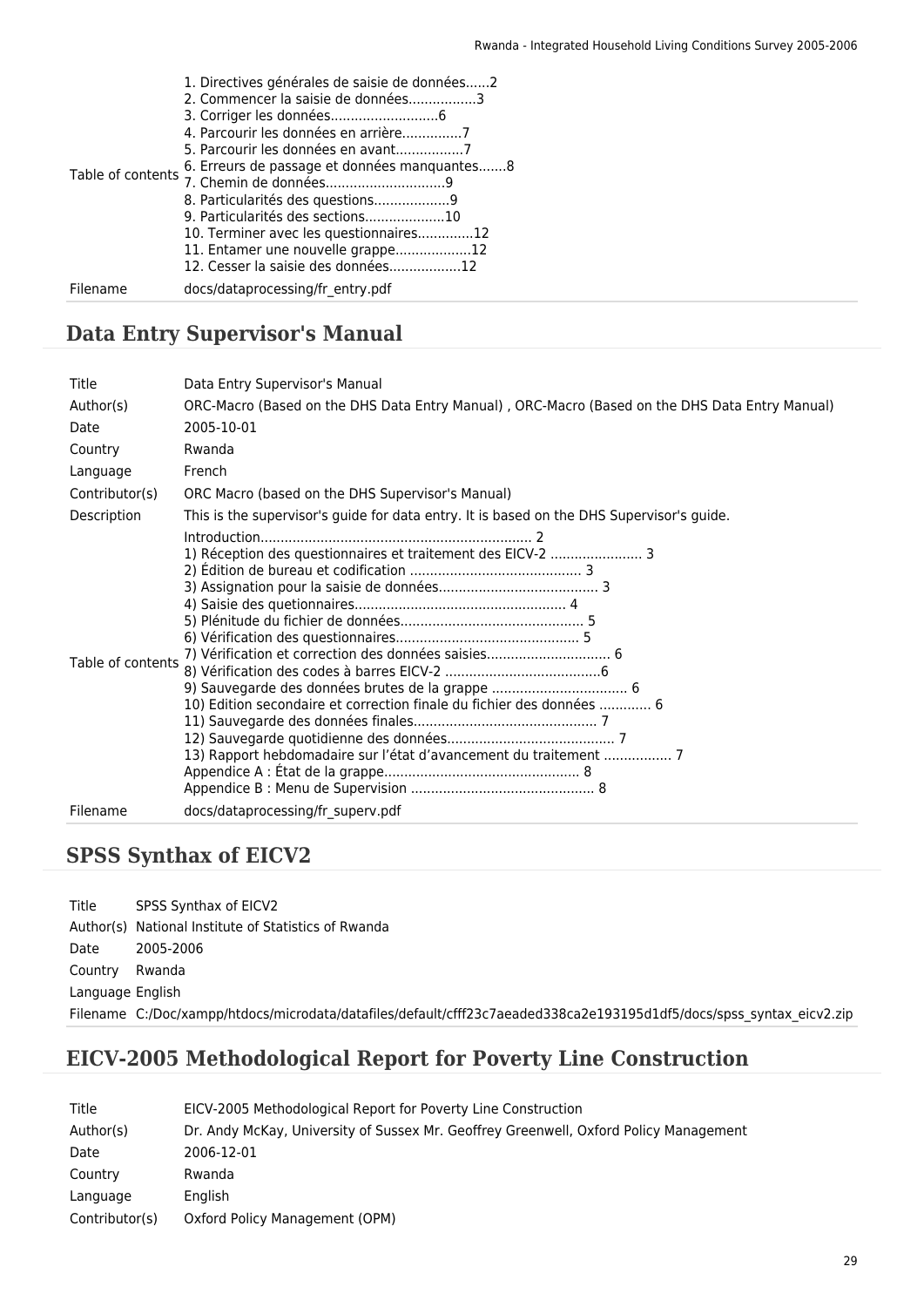|                   | 1. Directives générales de saisie de données2 |
|-------------------|-----------------------------------------------|
|                   | 2. Commencer la saisie de données3            |
|                   |                                               |
|                   |                                               |
|                   |                                               |
| Table of contents | 6. Erreurs de passage et données manquantes8  |
|                   |                                               |
|                   | 8. Particularités des questions9              |
|                   | 9. Particularités des sections10              |
|                   | 10. Terminer avec les questionnaires12        |
|                   | 11. Entamer une nouvelle grappe12             |
|                   | 12. Cesser la saisie des données12            |
| Filename          | docs/dataprocessing/fr entry.pdf              |
|                   |                                               |

#### **Data Entry Supervisor's Manual**

| Title             | Data Entry Supervisor's Manual                                                                                                                                                                            |
|-------------------|-----------------------------------------------------------------------------------------------------------------------------------------------------------------------------------------------------------|
| Author(s)         | ORC-Macro (Based on the DHS Data Entry Manual), ORC-Macro (Based on the DHS Data Entry Manual)                                                                                                            |
| Date              | 2005-10-01                                                                                                                                                                                                |
| Country           | Rwanda                                                                                                                                                                                                    |
| Language          | French                                                                                                                                                                                                    |
| Contributor(s)    | ORC Macro (based on the DHS Supervisor's Manual)                                                                                                                                                          |
| Description       | This is the supervisor's guide for data entry. It is based on the DHS Supervisor's guide.                                                                                                                 |
| Table of contents | 1) Réception des questionnaires et traitement des EICV-2  3<br>10) Edition secondaire et correction finale du fichier des données  6<br>13) Rapport hebdomadaire sur l'état d'avancement du traitement  7 |
| Filename          | docs/dataprocessing/fr superv.pdf                                                                                                                                                                         |

#### **SPSS Synthax of EICV2**

Title SPSS Synthax of EICV2 Author(s) National Institute of Statistics of Rwanda Date 2005-2006 Country Rwanda Language English Filename C:/Doc/xampp/htdocs/microdata/datafiles/default/cfff23c7aeaded338ca2e193195d1df5/docs/spss\_syntax\_eicv2.zip

#### **EICV-2005 Methodological Report for Poverty Line Construction**

| Title          | EICV-2005 Methodological Report for Poverty Line Construction                         |
|----------------|---------------------------------------------------------------------------------------|
| Author(s)      | Dr. Andy McKay, University of Sussex Mr. Geoffrey Greenwell, Oxford Policy Management |
| Date           | 2006-12-01                                                                            |
| Country        | Rwanda                                                                                |
| Language       | English                                                                               |
| Contributor(s) | Oxford Policy Management (OPM)                                                        |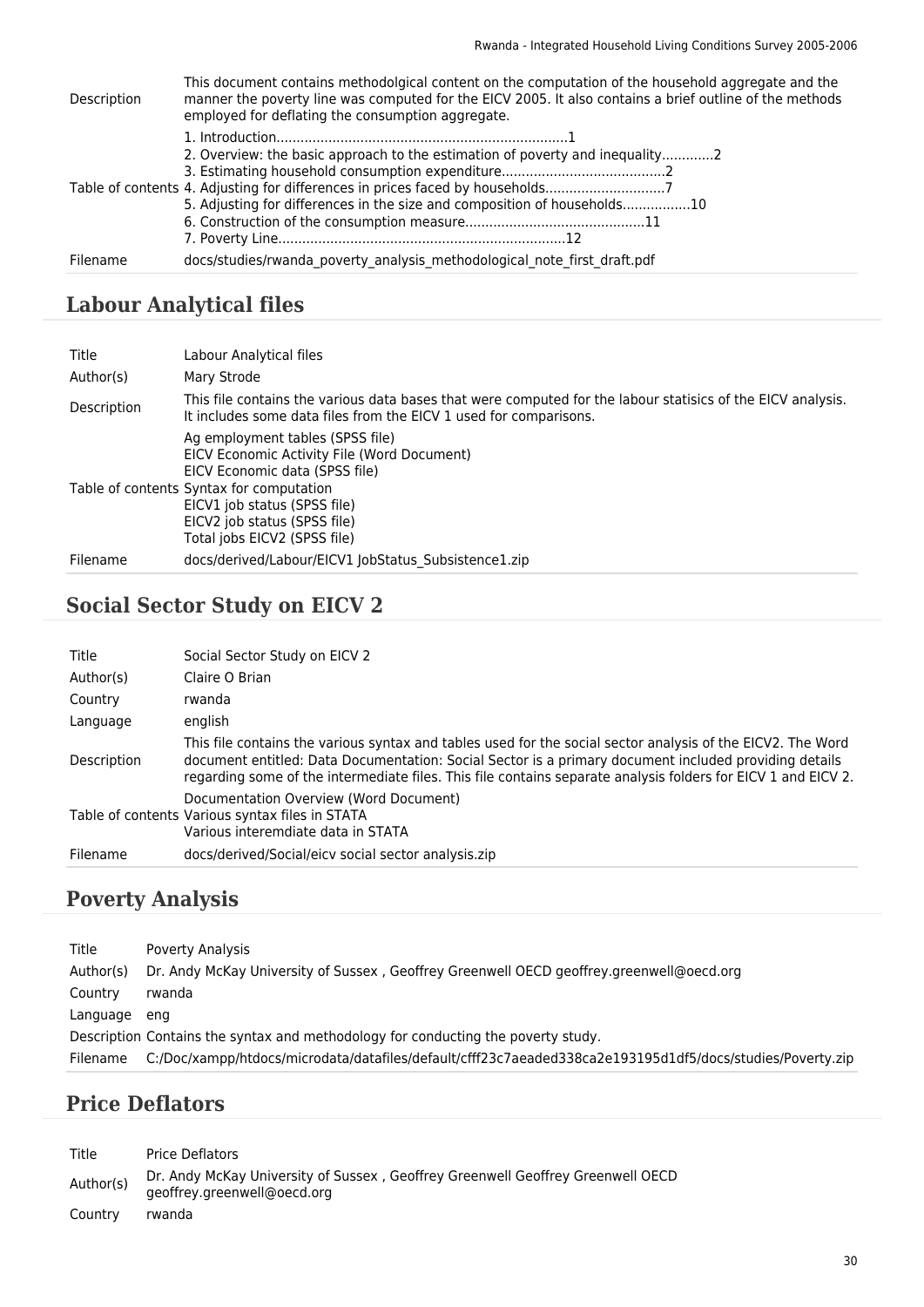| Description | This document contains methodolgical content on the computation of the household aggregate and the<br>manner the poverty line was computed for the EICV 2005. It also contains a brief outline of the methods<br>employed for deflating the consumption aggregate. |
|-------------|--------------------------------------------------------------------------------------------------------------------------------------------------------------------------------------------------------------------------------------------------------------------|
|             | 2. Overview: the basic approach to the estimation of poverty and inequality2<br>Table of contents 4. Adjusting for differences in prices faced by households7<br>5. Adjusting for differences in the size and composition of households10                          |
| Filename    | docs/studies/rwanda poverty analysis methodological note first draft.pdf                                                                                                                                                                                           |

# **Labour Analytical files**

| Title       | Labour Analytical files                                                                                                                                                                                                       |
|-------------|-------------------------------------------------------------------------------------------------------------------------------------------------------------------------------------------------------------------------------|
| Author(s)   | Mary Strode                                                                                                                                                                                                                   |
| Description | This file contains the various data bases that were computed for the labour statisics of the EICV analysis.<br>It includes some data files from the EICV 1 used for comparisons.                                              |
|             | Ag employment tables (SPSS file)<br>EICV Economic Activity File (Word Document)<br>EICV Economic data (SPSS file)<br>Table of contents Syntax for computation<br>EICV1 job status (SPSS file)<br>EICV2 job status (SPSS file) |
|             | Total jobs EICV2 (SPSS file)                                                                                                                                                                                                  |
| Filename    | docs/derived/Labour/EICV1 JobStatus Subsistence1.zip                                                                                                                                                                          |

# **Social Sector Study on EICV 2**

| Title       | Social Sector Study on EICV 2                                                                                                                                                                                                                                                                                                         |
|-------------|---------------------------------------------------------------------------------------------------------------------------------------------------------------------------------------------------------------------------------------------------------------------------------------------------------------------------------------|
| Author(s)   | Claire O Brian                                                                                                                                                                                                                                                                                                                        |
| Country     | rwanda                                                                                                                                                                                                                                                                                                                                |
| Language    | english                                                                                                                                                                                                                                                                                                                               |
| Description | This file contains the various syntax and tables used for the social sector analysis of the EICV2. The Word<br>document entitled: Data Documentation: Social Sector is a primary document included providing details<br>regarding some of the intermediate files. This file contains separate analysis folders for EICV 1 and EICV 2. |
|             | Documentation Overview (Word Document)<br>Table of contents Various syntax files in STATA<br>Various interemdiate data in STATA                                                                                                                                                                                                       |
| Filename    | docs/derived/Social/eicv social sector analysis.zip                                                                                                                                                                                                                                                                                   |

# **Poverty Analysis**

| Title     | Poverty Analysis                                                                                          |
|-----------|-----------------------------------------------------------------------------------------------------------|
| Author(s) | Dr. Andy McKay University of Sussex, Geoffrey Greenwell OECD geoffrey.greenwell@oecd.org                  |
| Country   | rwanda                                                                                                    |
| Language  | ena                                                                                                       |
|           | Description Contains the syntax and methodology for conducting the poverty study.                         |
| Filename  | C:/Doc/xampp/htdocs/microdata/datafiles/default/cfff23c7aeaded338ca2e193195d1df5/docs/studies/Poverty.zip |

### **Price Deflators**

| Title     | <b>Price Deflators</b>                                                                                         |
|-----------|----------------------------------------------------------------------------------------------------------------|
| Author(s) | Dr. Andy McKay University of Sussex, Geoffrey Greenwell Geoffrey Greenwell OECD<br>geoffrey.greenwell@oecd.org |
| Country   | rwanda                                                                                                         |